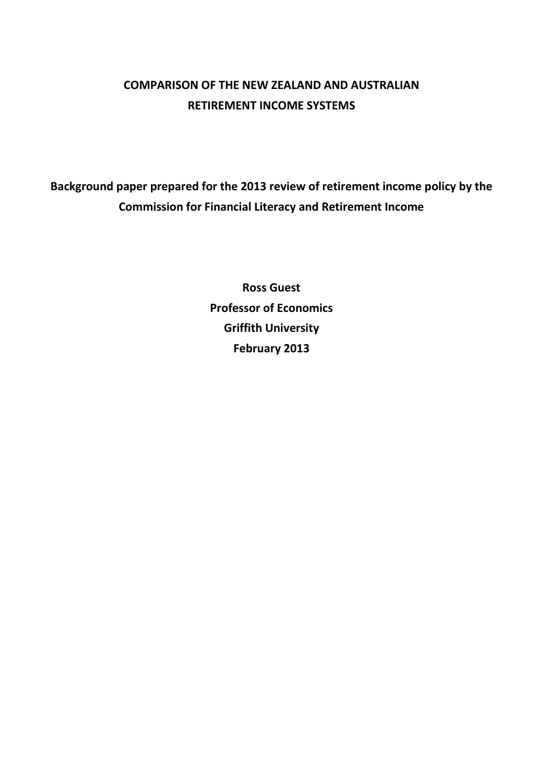# **COMPARISON OF THE NEW ZEALAND AND AUSTRALIAN RETIREMENT INCOME SYSTEMS**

**Background paper prepared for the 2013 review of retirement income policy by the Commission for Financial Literacy and Retirement Income** 

> **Ross Guest Professor of Economics Griffith University February 2013**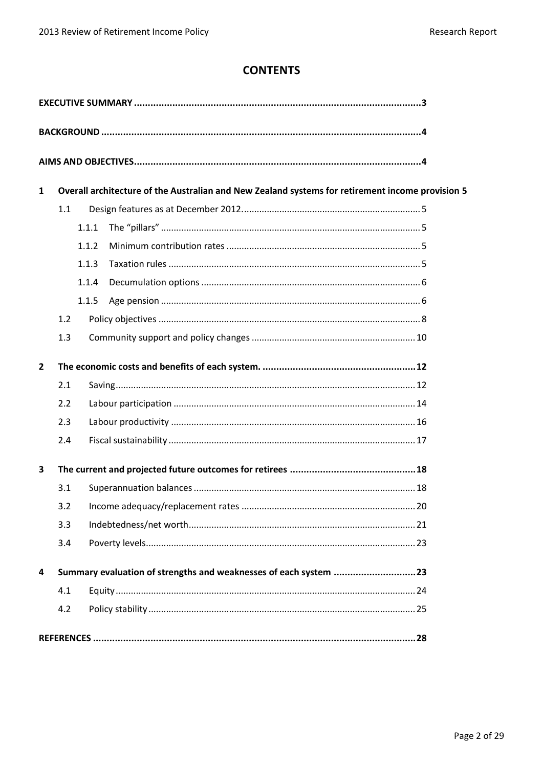# **CONTENTS**

| $\mathbf{1}$   | Overall architecture of the Australian and New Zealand systems for retirement income provision 5 |       |                                                                  |  |  |
|----------------|--------------------------------------------------------------------------------------------------|-------|------------------------------------------------------------------|--|--|
|                | 1.1                                                                                              |       |                                                                  |  |  |
|                |                                                                                                  | 1.1.1 |                                                                  |  |  |
|                |                                                                                                  | 1.1.2 |                                                                  |  |  |
|                |                                                                                                  | 1.1.3 |                                                                  |  |  |
|                |                                                                                                  | 1.1.4 |                                                                  |  |  |
|                |                                                                                                  | 1.1.5 |                                                                  |  |  |
|                | 1.2                                                                                              |       |                                                                  |  |  |
|                | 1.3                                                                                              |       |                                                                  |  |  |
| $\overline{2}$ |                                                                                                  |       |                                                                  |  |  |
|                | 2.1                                                                                              |       |                                                                  |  |  |
|                | 2.2                                                                                              |       |                                                                  |  |  |
|                | 2.3                                                                                              |       |                                                                  |  |  |
|                | 2.4                                                                                              |       |                                                                  |  |  |
| 3              |                                                                                                  |       |                                                                  |  |  |
|                | 3.1                                                                                              |       |                                                                  |  |  |
|                |                                                                                                  |       |                                                                  |  |  |
|                | 3.3                                                                                              |       |                                                                  |  |  |
|                | 3.4                                                                                              |       |                                                                  |  |  |
| 4              |                                                                                                  |       | Summary evaluation of strengths and weaknesses of each system 23 |  |  |
|                | 4.1                                                                                              |       |                                                                  |  |  |
|                | 4.2                                                                                              |       |                                                                  |  |  |
|                |                                                                                                  |       |                                                                  |  |  |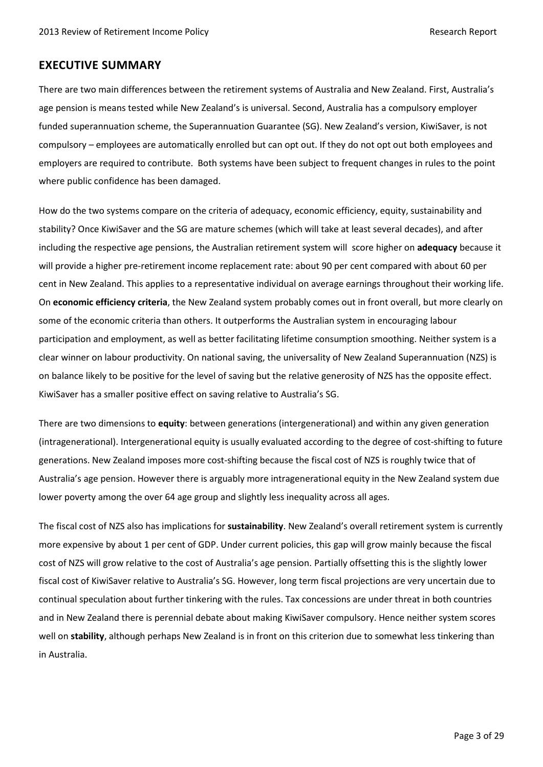# <span id="page-2-0"></span>**EXECUTIVE SUMMARY**

There are two main differences between the retirement systems of Australia and New Zealand. First, Australia's age pension is means tested while New Zealand's is universal. Second, Australia has a compulsory employer funded superannuation scheme, the Superannuation Guarantee (SG). New Zealand's version, KiwiSaver, is not compulsory – employees are automatically enrolled but can opt out. If they do not opt out both employees and employers are required to contribute. Both systems have been subject to frequent changes in rules to the point where public confidence has been damaged.

How do the two systems compare on the criteria of adequacy, economic efficiency, equity, sustainability and stability? Once KiwiSaver and the SG are mature schemes (which will take at least several decades), and after including the respective age pensions, the Australian retirement system will score higher on **adequacy** because it will provide a higher pre-retirement income replacement rate: about 90 per cent compared with about 60 per cent in New Zealand. This applies to a representative individual on average earnings throughout their working life. On **economic efficiency criteria**, the New Zealand system probably comes out in front overall, but more clearly on some of the economic criteria than others. It outperforms the Australian system in encouraging labour participation and employment, as well as better facilitating lifetime consumption smoothing. Neither system is a clear winner on labour productivity. On national saving, the universality of New Zealand Superannuation (NZS) is on balance likely to be positive for the level of saving but the relative generosity of NZS has the opposite effect. KiwiSaver has a smaller positive effect on saving relative to Australia's SG.

There are two dimensions to **equity**: between generations (intergenerational) and within any given generation (intragenerational). Intergenerational equity is usually evaluated according to the degree of cost-shifting to future generations. New Zealand imposes more cost-shifting because the fiscal cost of NZS is roughly twice that of Australia's age pension. However there is arguably more intragenerational equity in the New Zealand system due lower poverty among the over 64 age group and slightly less inequality across all ages.

The fiscal cost of NZS also has implications for **sustainability**. New Zealand's overall retirement system is currently more expensive by about 1 per cent of GDP. Under current policies, this gap will grow mainly because the fiscal cost of NZS will grow relative to the cost of Australia's age pension. Partially offsetting this is the slightly lower fiscal cost of KiwiSaver relative to Australia's SG. However, long term fiscal projections are very uncertain due to continual speculation about further tinkering with the rules. Tax concessions are under threat in both countries and in New Zealand there is perennial debate about making KiwiSaver compulsory. Hence neither system scores well on **stability**, although perhaps New Zealand is in front on this criterion due to somewhat less tinkering than in Australia.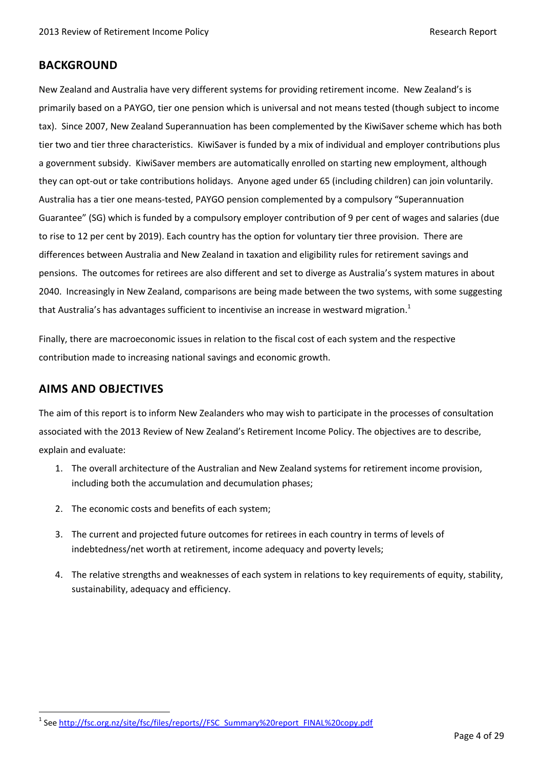# <span id="page-3-0"></span>**BACKGROUND**

New Zealand and Australia have very different systems for providing retirement income. New Zealand's is primarily based on a PAYGO, tier one pension which is universal and not means tested (though subject to income tax). Since 2007, New Zealand Superannuation has been complemented by the KiwiSaver scheme which has both tier two and tier three characteristics. KiwiSaver is funded by a mix of individual and employer contributions plus a government subsidy. KiwiSaver members are automatically enrolled on starting new employment, although they can opt-out or take contributions holidays. Anyone aged under 65 (including children) can join voluntarily. Australia has a tier one means-tested, PAYGO pension complemented by a compulsory "Superannuation Guarantee" (SG) which is funded by a compulsory employer contribution of 9 per cent of wages and salaries (due to rise to 12 per cent by 2019). Each country has the option for voluntary tier three provision. There are differences between Australia and New Zealand in taxation and eligibility rules for retirement savings and pensions. The outcomes for retirees are also different and set to diverge as Australia's system matures in about 2040. Increasingly in New Zealand, comparisons are being made between the two systems, with some suggesting that Australia's has advantages sufficient to incentivise an increase in westward migration.<sup>1</sup>

Finally, there are macroeconomic issues in relation to the fiscal cost of each system and the respective contribution made to increasing national savings and economic growth.

# <span id="page-3-1"></span>**AIMS AND OBJECTIVES**

 $\overline{a}$ 

The aim of this report is to inform New Zealanders who may wish to participate in the processes of consultation associated with the 2013 Review of New Zealand's Retirement Income Policy. The objectives are to describe, explain and evaluate:

- 1. The overall architecture of the Australian and New Zealand systems for retirement income provision, including both the accumulation and decumulation phases;
- 2. The economic costs and benefits of each system;
- 3. The current and projected future outcomes for retirees in each country in terms of levels of indebtedness/net worth at retirement, income adequacy and poverty levels;
- 4. The relative strengths and weaknesses of each system in relations to key requirements of equity, stability, sustainability, adequacy and efficiency.

<sup>&</sup>lt;sup>1</sup> See <u>http://fsc.org.nz/site/fsc/files/reports//FSC\_Summary%20report\_FINAL%20copy.pdf</u>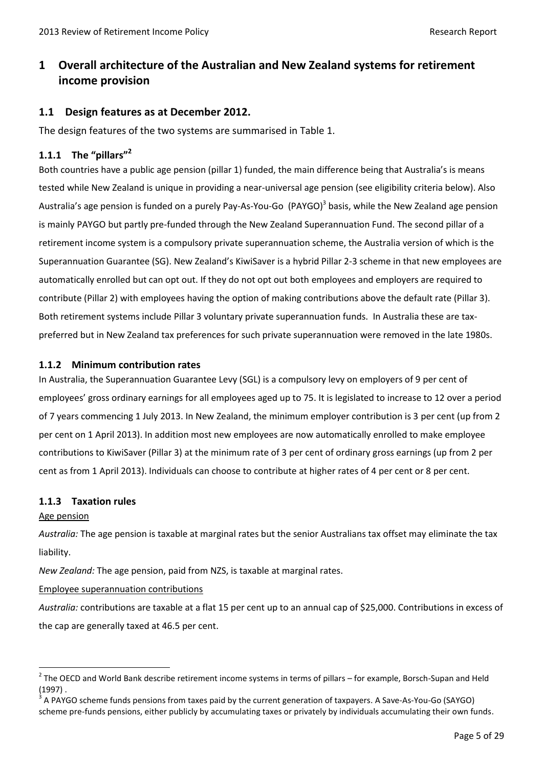# <span id="page-4-0"></span>**1 Overall architecture of the Australian and New Zealand systems for retirement income provision**

# <span id="page-4-1"></span>**1.1 Design features as at December 2012.**

The design features of the two systems are summarised in Table 1.

# <span id="page-4-2"></span>**1.1.1 The "pillars"<sup>2</sup>**

Both countries have a public age pension (pillar 1) funded, the main difference being that Australia's is means tested while New Zealand is unique in providing a near-universal age pension (see eligibility criteria below). Also Australia's age pension is funded on a purely Pay-As-You-Go (PAYGO)<sup>3</sup> basis, while the New Zealand age pension is mainly PAYGO but partly pre-funded through the New Zealand Superannuation Fund. The second pillar of a retirement income system is a compulsory private superannuation scheme, the Australia version of which is the Superannuation Guarantee (SG). New Zealand's KiwiSaver is a hybrid Pillar 2-3 scheme in that new employees are automatically enrolled but can opt out. If they do not opt out both employees and employers are required to contribute (Pillar 2) with employees having the option of making contributions above the default rate (Pillar 3). Both retirement systems include Pillar 3 voluntary private superannuation funds. In Australia these are taxpreferred but in New Zealand tax preferences for such private superannuation were removed in the late 1980s.

### <span id="page-4-3"></span>**1.1.2 Minimum contribution rates**

In Australia, the Superannuation Guarantee Levy (SGL) is a compulsory levy on employers of 9 per cent of employees' gross ordinary earnings for all employees aged up to 75. It is legislated to increase to 12 over a period of 7 years commencing 1 July 2013. In New Zealand, the minimum employer contribution is 3 per cent (up from 2 per cent on 1 April 2013). In addition most new employees are now automatically enrolled to make employee contributions to KiwiSaver (Pillar 3) at the minimum rate of 3 per cent of ordinary gross earnings (up from 2 per cent as from 1 April 2013). Individuals can choose to contribute at higher rates of 4 per cent or 8 per cent.

### <span id="page-4-4"></span>**1.1.3 Taxation rules**

### Age pension

 $\ddot{\phantom{a}}$ 

*Australia:* The age pension is taxable at marginal rates but the senior Australians tax offset may eliminate the tax liability.

*New Zealand:* The age pension, paid from NZS, is taxable at marginal rates.

### Employee superannuation contributions

*Australia:* contributions are taxable at a flat 15 per cent up to an annual cap of \$25,000. Contributions in excess of the cap are generally taxed at 46.5 per cent.

 $2$  The OECD and World Bank describe retirement income systems in terms of pillars – for example, Borsch-Supan and Held (1997) .

<sup>3</sup> A PAYGO scheme funds pensions from taxes paid by the current generation of taxpayers. A Save-As-You-Go (SAYGO) scheme pre-funds pensions, either publicly by accumulating taxes or privately by individuals accumulating their own funds.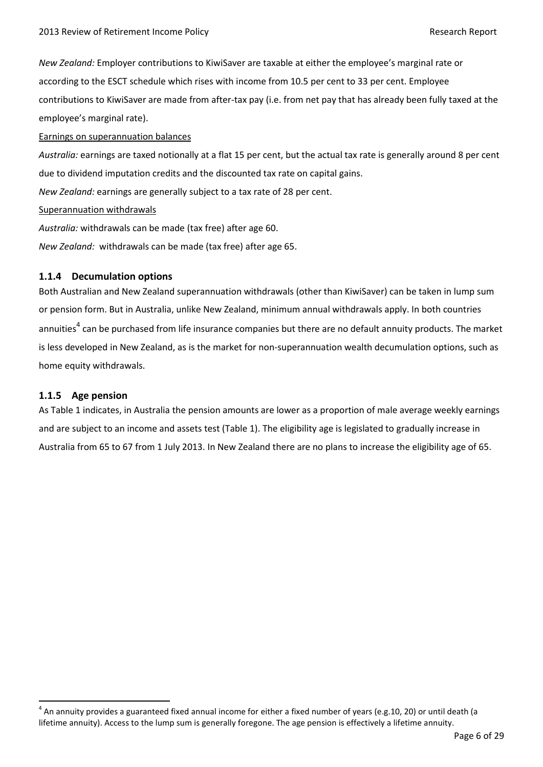*New Zealand:* Employer contributions to KiwiSaver are taxable at either the employee's marginal rate or according to the ESCT schedule which rises with income from 10.5 per cent to 33 per cent. Employee contributions to KiwiSaver are made from after-tax pay (i.e. from net pay that has already been fully taxed at the employee's marginal rate).

#### Earnings on superannuation balances

*Australia:* earnings are taxed notionally at a flat 15 per cent, but the actual tax rate is generally around 8 per cent due to dividend imputation credits and the discounted tax rate on capital gains.

*New Zealand:* earnings are generally subject to a tax rate of 28 per cent.

#### Superannuation withdrawals

*Australia:* withdrawals can be made (tax free) after age 60.

*New Zealand:* withdrawals can be made (tax free) after age 65.

#### <span id="page-5-0"></span>**1.1.4 Decumulation options**

Both Australian and New Zealand superannuation withdrawals (other than KiwiSaver) can be taken in lump sum or pension form. But in Australia, unlike New Zealand, minimum annual withdrawals apply. In both countries annuities<sup>4</sup> can be purchased from life insurance companies but there are no default annuity products. The market is less developed in New Zealand, as is the market for non-superannuation wealth decumulation options, such as home equity withdrawals.

#### <span id="page-5-1"></span>**1.1.5 Age pension**

 $\overline{a}$ 

As Table 1 indicates, in Australia the pension amounts are lower as a proportion of male average weekly earnings and are subject to an income and assets test (Table 1). The eligibility age is legislated to gradually increase in Australia from 65 to 67 from 1 July 2013. In New Zealand there are no plans to increase the eligibility age of 65.

 $^4$  An annuity provides a guaranteed fixed annual income for either a fixed number of years (e.g.10, 20) or until death (a lifetime annuity). Access to the lump sum is generally foregone. The age pension is effectively a lifetime annuity.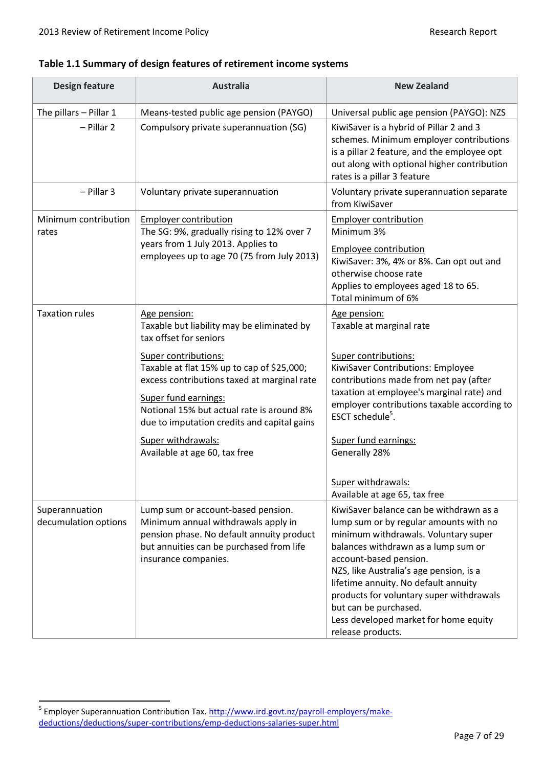# **Table 1.1 Summary of design features of retirement income systems**

| <b>Design feature</b>                  | <b>Australia</b>                                                                                                                                                                                                                      | <b>New Zealand</b>                                                                                                                                                                                                                                                                                                                                                                                                                                |
|----------------------------------------|---------------------------------------------------------------------------------------------------------------------------------------------------------------------------------------------------------------------------------------|---------------------------------------------------------------------------------------------------------------------------------------------------------------------------------------------------------------------------------------------------------------------------------------------------------------------------------------------------------------------------------------------------------------------------------------------------|
| The pillars - Pillar 1                 | Means-tested public age pension (PAYGO)                                                                                                                                                                                               | Universal public age pension (PAYGO): NZS                                                                                                                                                                                                                                                                                                                                                                                                         |
| $-$ Pillar 2                           | Compulsory private superannuation (SG)                                                                                                                                                                                                | KiwiSaver is a hybrid of Pillar 2 and 3<br>schemes. Minimum employer contributions<br>is a pillar 2 feature, and the employee opt<br>out along with optional higher contribution<br>rates is a pillar 3 feature                                                                                                                                                                                                                                   |
| $-$ Pillar 3                           | Voluntary private superannuation                                                                                                                                                                                                      | Voluntary private superannuation separate<br>from KiwiSaver                                                                                                                                                                                                                                                                                                                                                                                       |
| Minimum contribution<br>rates          | <b>Employer contribution</b><br>The SG: 9%, gradually rising to 12% over 7                                                                                                                                                            | <b>Employer contribution</b><br>Minimum 3%                                                                                                                                                                                                                                                                                                                                                                                                        |
|                                        | years from 1 July 2013. Applies to<br>employees up to age 70 (75 from July 2013)                                                                                                                                                      | Employee contribution<br>KiwiSaver: 3%, 4% or 8%. Can opt out and<br>otherwise choose rate<br>Applies to employees aged 18 to 65.<br>Total minimum of 6%                                                                                                                                                                                                                                                                                          |
| <b>Taxation rules</b>                  | Age pension:<br>Taxable but liability may be eliminated by<br>tax offset for seniors                                                                                                                                                  | Age pension:<br>Taxable at marginal rate                                                                                                                                                                                                                                                                                                                                                                                                          |
|                                        | Super contributions:<br>Taxable at flat 15% up to cap of \$25,000;<br>excess contributions taxed at marginal rate<br>Super fund earnings:<br>Notional 15% but actual rate is around 8%<br>due to imputation credits and capital gains | Super contributions:<br>KiwiSaver Contributions: Employee<br>contributions made from net pay (after<br>taxation at employee's marginal rate) and<br>employer contributions taxable according to<br>ESCT schedule <sup>5</sup> .                                                                                                                                                                                                                   |
|                                        | Super withdrawals:<br>Available at age 60, tax free                                                                                                                                                                                   | Super fund earnings:<br>Generally 28%<br>Super withdrawals:                                                                                                                                                                                                                                                                                                                                                                                       |
| Superannuation<br>decumulation options | Lump sum or account-based pension.<br>Minimum annual withdrawals apply in<br>pension phase. No default annuity product<br>but annuities can be purchased from life<br>insurance companies.                                            | Available at age 65, tax free<br>KiwiSaver balance can be withdrawn as a<br>lump sum or by regular amounts with no<br>minimum withdrawals. Voluntary super<br>balances withdrawn as a lump sum or<br>account-based pension.<br>NZS, like Australia's age pension, is a<br>lifetime annuity. No default annuity<br>products for voluntary super withdrawals<br>but can be purchased.<br>Less developed market for home equity<br>release products. |

<sup>&</sup>lt;u>-</u><br><sup>5</sup> Employer Superannuation Contribution Tax. <u>http://www.ird.govt.nz/payroll-employers/make-</u> [deductions/deductions/super-contributions/emp-deductions-salaries-super.html](http://www.ird.govt.nz/payroll-employers/make-deductions/deductions/super-contributions/emp-deductions-salaries-super.html)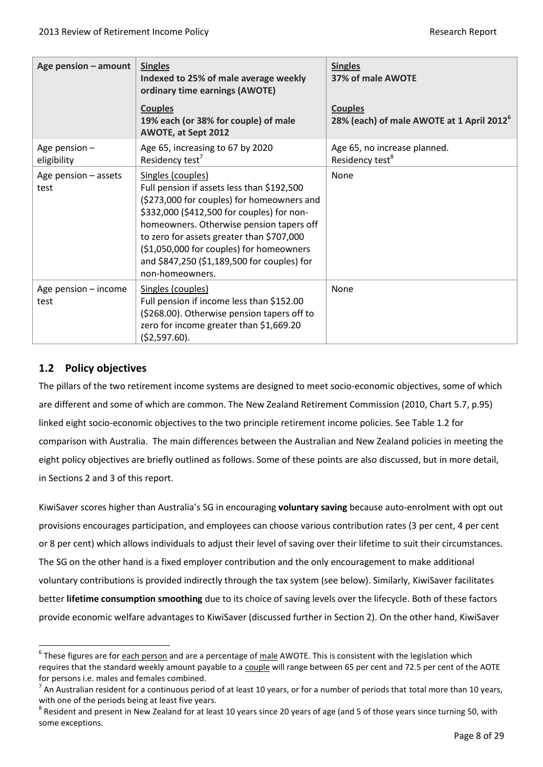| Age pension - amount           | <b>Singles</b><br>Indexed to 25% of male average weekly<br>ordinary time earnings (AWOTE)                                                                                                                                                                                                                                                                          | <b>Singles</b><br>37% of male AWOTE                                     |
|--------------------------------|--------------------------------------------------------------------------------------------------------------------------------------------------------------------------------------------------------------------------------------------------------------------------------------------------------------------------------------------------------------------|-------------------------------------------------------------------------|
|                                | <b>Couples</b><br>19% each (or 38% for couple) of male<br>AWOTE, at Sept 2012                                                                                                                                                                                                                                                                                      | <b>Couples</b><br>28% (each) of male AWOTE at 1 April 2012 <sup>6</sup> |
| Age pension $-$<br>eligibility | Age 65, increasing to 67 by 2020<br>Residency test <sup>7</sup>                                                                                                                                                                                                                                                                                                    | Age 65, no increase planned.<br>Residency test <sup>8</sup>             |
| Age pension - assets<br>test   | Singles (couples)<br>Full pension if assets less than \$192,500<br>(\$273,000 for couples) for homeowners and<br>\$332,000 (\$412,500 for couples) for non-<br>homeowners. Otherwise pension tapers off<br>to zero for assets greater than \$707,000<br>(\$1,050,000 for couples) for homeowners<br>and \$847,250 (\$1,189,500 for couples) for<br>non-homeowners. | None                                                                    |
| Age pension - income<br>test   | Singles (couples)<br>Full pension if income less than \$152.00<br>(\$268.00). Otherwise pension tapers off to<br>zero for income greater than \$1,669.20<br>$(52,597.60)$ .                                                                                                                                                                                        | None                                                                    |

# <span id="page-7-0"></span>**1.2 Policy objectives**

 $\overline{a}$ 

The pillars of the two retirement income systems are designed to meet socio-economic objectives, some of which are different and some of which are common. The New Zealand Retirement Commission (2010, Chart 5.7, p.95) linked eight socio-economic objectives to the two principle retirement income policies. See Table 1.2 for comparison with Australia. The main differences between the Australian and New Zealand policies in meeting the eight policy objectives are briefly outlined as follows. Some of these points are also discussed, but in more detail, in Sections 2 and 3 of this report.

KiwiSaver scores higher than Australia's SG in encouraging **voluntary saving** because auto-enrolment with opt out provisions encourages participation, and employees can choose various contribution rates (3 per cent, 4 per cent or 8 per cent) which allows individuals to adjust their level of saving over their lifetime to suit their circumstances. The SG on the other hand is a fixed employer contribution and the only encouragement to make additional voluntary contributions is provided indirectly through the tax system (see below). Similarly, KiwiSaver facilitates better **lifetime consumption smoothing** due to its choice of saving levels over the lifecycle. Both of these factors provide economic welfare advantages to KiwiSaver (discussed further in Section 2). On the other hand, KiwiSaver

<sup>&</sup>lt;sup>6</sup> These figures are for <u>each person</u> and are a percentage of <u>male</u> AWOTE. This is consistent with the legislation which requires that the standard weekly amount payable to a couple will range between 65 per cent and 72.5 per cent of the AOTE for persons i.e. males and females combined.

 $^7$  An Australian resident for a continuous period of at least 10 years, or for a number of periods that total more than 10 years, with one of the periods being at least five years.

 $^8$  Resident and present in New Zealand for at least 10 years since 20 years of age (and 5 of those years since turning 50, with some exceptions.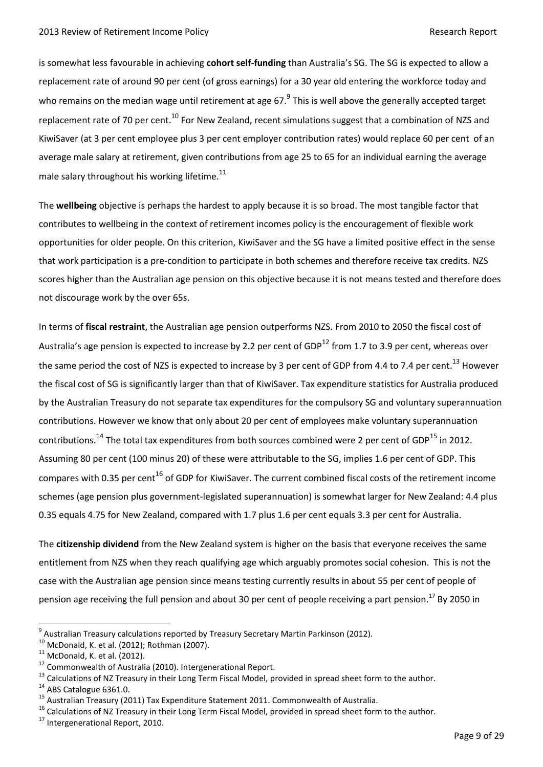is somewhat less favourable in achieving **cohort self-funding** than Australia's SG. The SG is expected to allow a replacement rate of around 90 per cent (of gross earnings) for a 30 year old entering the workforce today and who remains on the median wage until retirement at age 67.<sup>9</sup> This is well above the generally accepted target replacement rate of 70 per cent.<sup>10</sup> For New Zealand, recent simulations suggest that a combination of NZS and KiwiSaver (at 3 per cent employee plus 3 per cent employer contribution rates) would replace 60 per cent of an average male salary at retirement, given contributions from age 25 to 65 for an individual earning the average male salary throughout his working lifetime. $^{11}$ 

The **wellbeing** objective is perhaps the hardest to apply because it is so broad. The most tangible factor that contributes to wellbeing in the context of retirement incomes policy is the encouragement of flexible work opportunities for older people. On this criterion, KiwiSaver and the SG have a limited positive effect in the sense that work participation is a pre-condition to participate in both schemes and therefore receive tax credits. NZS scores higher than the Australian age pension on this objective because it is not means tested and therefore does not discourage work by the over 65s.

In terms of **fiscal restraint**, the Australian age pension outperforms NZS. From 2010 to 2050 the fiscal cost of Australia's age pension is expected to increase by 2.2 per cent of GDP<sup>12</sup> from 1.7 to 3.9 per cent, whereas over the same period the cost of NZS is expected to increase by 3 per cent of GDP from 4.4 to 7.4 per cent.<sup>13</sup> However the fiscal cost of SG is significantly larger than that of KiwiSaver. Tax expenditure statistics for Australia produced by the Australian Treasury do not separate tax expenditures for the compulsory SG and voluntary superannuation contributions. However we know that only about 20 per cent of employees make voluntary superannuation contributions.<sup>14</sup> The total tax expenditures from both sources combined were 2 per cent of GDP<sup>15</sup> in 2012. Assuming 80 per cent (100 minus 20) of these were attributable to the SG, implies 1.6 per cent of GDP. This compares with 0.35 per cent<sup>16</sup> of GDP for KiwiSaver. The current combined fiscal costs of the retirement income schemes (age pension plus government-legislated superannuation) is somewhat larger for New Zealand: 4.4 plus 0.35 equals 4.75 for New Zealand, compared with 1.7 plus 1.6 per cent equals 3.3 per cent for Australia.

The **citizenship dividend** from the New Zealand system is higher on the basis that everyone receives the same entitlement from NZS when they reach qualifying age which arguably promotes social cohesion. This is not the case with the Australian age pension since means testing currently results in about 55 per cent of people of pension age receiving the full pension and about 30 per cent of people receiving a part pension.<sup>17</sup> By 2050 in

 $^9$  Australian Treasury calculations reported by Treasury Secretary Martin Parkinson (2012).

 $10$  McDonald, K. et al. (2012); Rothman (2007).

 $11$  McDonald, K. et al. (2012).

<sup>&</sup>lt;sup>12</sup> Commonwealth of Australia (2010). Intergenerational Report.

<sup>&</sup>lt;sup>13</sup> Calculations of NZ Treasury in their Long Term Fiscal Model, provided in spread sheet form to the author.

<sup>&</sup>lt;sup>14</sup> ABS Catalogue 6361.0.

<sup>15</sup> Australian Treasury (2011) Tax Expenditure Statement 2011. Commonwealth of Australia.

<sup>&</sup>lt;sup>16</sup> Calculations of NZ Treasury in their Long Term Fiscal Model, provided in spread sheet form to the author.

<sup>&</sup>lt;sup>17</sup> Intergenerational Report, 2010.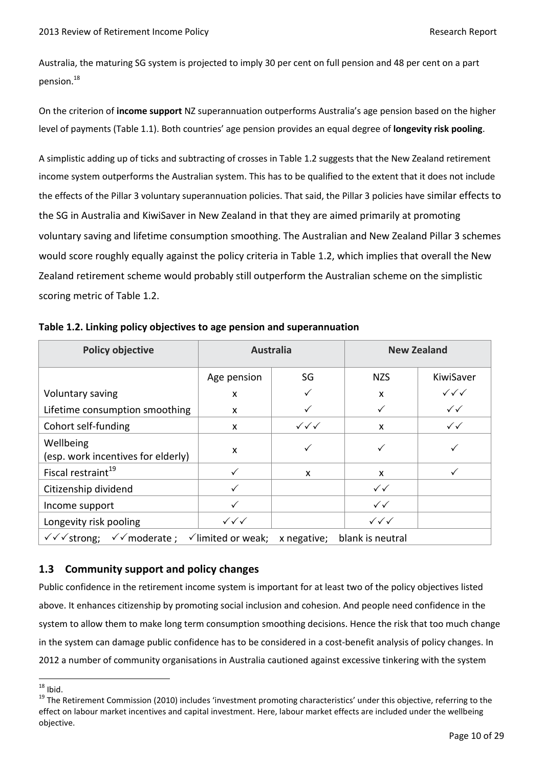Australia, the maturing SG system is projected to imply 30 per cent on full pension and 48 per cent on a part pension.<sup>18</sup>

On the criterion of **income support** NZ superannuation outperforms Australia's age pension based on the higher level of payments (Table 1.1). Both countries' age pension provides an equal degree of **longevity risk pooling**.

A simplistic adding up of ticks and subtracting of crosses in Table 1.2 suggests that the New Zealand retirement income system outperforms the Australian system. This has to be qualified to the extent that it does not include the effects of the Pillar 3 voluntary superannuation policies. That said, the Pillar 3 policies have similar effects to the SG in Australia and KiwiSaver in New Zealand in that they are aimed primarily at promoting voluntary saving and lifetime consumption smoothing. The Australian and New Zealand Pillar 3 schemes would score roughly equally against the policy criteria in Table 1.2, which implies that overall the New Zealand retirement scheme would probably still outperform the Australian scheme on the simplistic scoring metric of Table 1.2.

| <b>Policy objective</b>                         | <b>Australia</b>                 |                                  | <b>New Zealand</b>               |                                  |
|-------------------------------------------------|----------------------------------|----------------------------------|----------------------------------|----------------------------------|
|                                                 | Age pension                      | SG                               | <b>NZS</b>                       | KiwiSaver                        |
| Voluntary saving                                | X                                | ✓                                | X                                | $\checkmark\checkmark\checkmark$ |
| Lifetime consumption smoothing                  | X                                |                                  | ✓                                | $\checkmark$                     |
| Cohort self-funding                             | X                                | $\checkmark\checkmark\checkmark$ | X                                | $\checkmark$                     |
| Wellbeing<br>(esp. work incentives for elderly) | X                                | ✓                                | ✓                                |                                  |
| Fiscal restraint <sup>19</sup>                  | $\checkmark$                     | X                                | $\mathsf{x}$                     |                                  |
| Citizenship dividend                            |                                  |                                  | $\checkmark$                     |                                  |
| Income support                                  |                                  |                                  | $\checkmark$                     |                                  |
| Longevity risk pooling                          | $\checkmark\checkmark\checkmark$ |                                  | $\checkmark\checkmark\checkmark$ |                                  |
| $\checkmark$ moderate;<br>√√ strong;            | $\checkmark$ limited or weak;    | x negative;                      | blank is neutral                 |                                  |

**Table 1.2. Linking policy objectives to age pension and superannuation** 

# <span id="page-9-0"></span>**1.3 Community support and policy changes**

Public confidence in the retirement income system is important for at least two of the policy objectives listed above. It enhances citizenship by promoting social inclusion and cohesion. And people need confidence in the system to allow them to make long term consumption smoothing decisions. Hence the risk that too much change in the system can damage public confidence has to be considered in a cost-benefit analysis of policy changes. In 2012 a number of community organisations in Australia cautioned against excessive tinkering with the system

 $18$  Ibid.

<sup>&</sup>lt;sup>19</sup> The Retirement Commission (2010) includes 'investment promoting characteristics' under this objective, referring to the effect on labour market incentives and capital investment. Here, labour market effects are included under the wellbeing objective.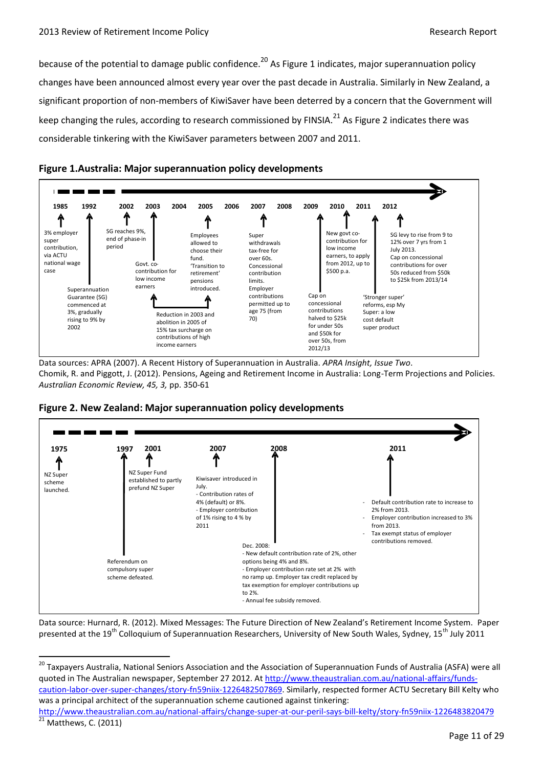because of the potential to damage public confidence.<sup>20</sup> As Figure 1 indicates, major superannuation policy changes have been announced almost every year over the past decade in Australia. Similarly in New Zealand, a significant proportion of non-members of KiwiSaver have been deterred by a concern that the Government will keep changing the rules, according to research commissioned by FINSIA.<sup>21</sup> As Figure 2 indicates there was considerable tinkering with the KiwiSaver parameters between 2007 and 2011.



**Figure 1.Australia: Major superannuation policy developments** 

Data sources: APRA (2007). A Recent History of Superannuation in Australia. *APRA Insight, Issue Two*. Chomik, R. and Piggott, J. (2012). Pensions, Ageing and Retirement Income in Australia: Long-Term Projections and Policies. *Australian Economic Review, 45, 3,* pp. 350-61



**Figure 2. New Zealand: Major superannuation policy developments**

 $\overline{a}$ 

Data source: Hurnard, R. (2012). Mixed Messages: The Future Direction of New Zealand's Retirement Income System. Paper presented at the 19<sup>th</sup> Colloquium of Superannuation Researchers, University of New South Wales, Sydney, 15<sup>th</sup> July 2011

<sup>20</sup> Taxpavers Australia, National Seniors Association and the Association of Superannuation Funds of Australia (ASFA) were all quoted in The Australian newspaper, September 27 2012. A[t http://www.theaustralian.com.au/national-affairs/funds](http://www.theaustralian.com.au/national-affairs/funds-caution-labor-over-super-changes/story-fn59niix-1226482507869)[caution-labor-over-super-changes/story-fn59niix-1226482507869.](http://www.theaustralian.com.au/national-affairs/funds-caution-labor-over-super-changes/story-fn59niix-1226482507869) Similarly, respected former ACTU Secretary Bill Kelty who was a principal architect of the superannuation scheme cautioned against tinkering:

```
http://www.theaustralian.com.au/national-affairs/change-super-at-our-peril-says-bill-kelty/story-fn59niix-1226483820479
Matthews, C. (2011)
```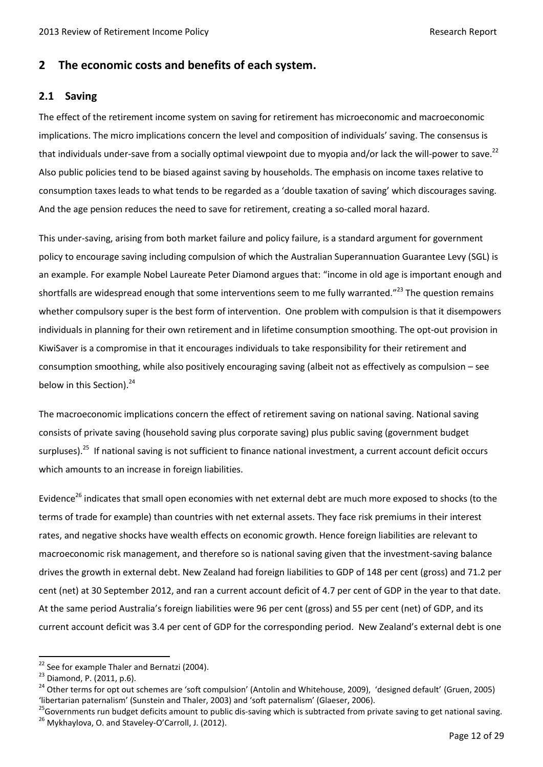# <span id="page-11-0"></span>**2 The economic costs and benefits of each system.**

#### <span id="page-11-1"></span>**2.1 Saving**

The effect of the retirement income system on saving for retirement has microeconomic and macroeconomic implications. The micro implications concern the level and composition of individuals' saving. The consensus is that individuals under-save from a socially optimal viewpoint due to myopia and/or lack the will-power to save.<sup>22</sup> Also public policies tend to be biased against saving by households. The emphasis on income taxes relative to consumption taxes leads to what tends to be regarded as a 'double taxation of saving' which discourages saving. And the age pension reduces the need to save for retirement, creating a so-called moral hazard.

This under-saving, arising from both market failure and policy failure, is a standard argument for government policy to encourage saving including compulsion of which the Australian Superannuation Guarantee Levy (SGL) is an example. For example Nobel Laureate Peter Diamond argues that: "income in old age is important enough and shortfalls are widespread enough that some interventions seem to me fully warranted."<sup>23</sup> The question remains whether compulsory super is the best form of intervention. One problem with compulsion is that it disempowers individuals in planning for their own retirement and in lifetime consumption smoothing. The opt-out provision in KiwiSaver is a compromise in that it encourages individuals to take responsibility for their retirement and consumption smoothing, while also positively encouraging saving (albeit not as effectively as compulsion – see below in this Section). $^{24}$ 

The macroeconomic implications concern the effect of retirement saving on national saving. National saving consists of private saving (household saving plus corporate saving) plus public saving (government budget surpluses).<sup>25</sup> If national saving is not sufficient to finance national investment, a current account deficit occurs which amounts to an increase in foreign liabilities.

Evidence<sup>26</sup> indicates that small open economies with net external debt are much more exposed to shocks (to the terms of trade for example) than countries with net external assets. They face risk premiums in their interest rates, and negative shocks have wealth effects on economic growth. Hence foreign liabilities are relevant to macroeconomic risk management, and therefore so is national saving given that the investment-saving balance drives the growth in external debt. New Zealand had foreign liabilities to GDP of 148 per cent (gross) and 71.2 per cent (net) at 30 September 2012, and ran a current account deficit of 4.7 per cent of GDP in the year to that date. At the same period Australia's foreign liabilities were 96 per cent (gross) and 55 per cent (net) of GDP, and its current account deficit was 3.4 per cent of GDP for the corresponding period. New Zealand's external debt is one

 $22$  See for example Thaler and Bernatzi (2004).

<sup>&</sup>lt;sup>23</sup> Diamond, P. (2011, p.6).

<sup>&</sup>lt;sup>24</sup> Other terms for opt out schemes are 'soft compulsion' (Antolin and Whitehouse, 2009), 'designed default' (Gruen, 2005) 'libertarian paternalism' (Sunstein and Thaler, 2003) and 'soft paternalism' (Glaeser, 2006).

<sup>&</sup>lt;sup>25</sup>Governments run budget deficits amount to public dis-saving which is subtracted from private saving to get national saving. <sup>26</sup> Mykhaylova, O. and Staveley-O'Carroll, J. (2012).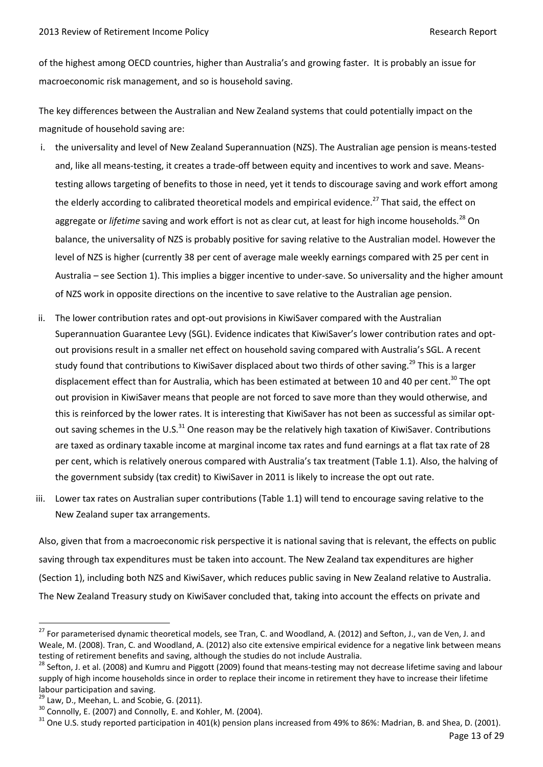of the highest among OECD countries, higher than Australia's and growing faster. It is probably an issue for macroeconomic risk management, and so is household saving.

The key differences between the Australian and New Zealand systems that could potentially impact on the magnitude of household saving are:

- i. the universality and level of New Zealand Superannuation (NZS). The Australian age pension is means-tested and, like all means-testing, it creates a trade-off between equity and incentives to work and save. Meanstesting allows targeting of benefits to those in need, yet it tends to discourage saving and work effort among the elderly according to calibrated theoretical models and empirical evidence.<sup>27</sup> That said, the effect on aggregate or *lifetime* saving and work effort is not as clear cut, at least for high income households.<sup>28</sup> On balance, the universality of NZS is probably positive for saving relative to the Australian model. However the level of NZS is higher (currently 38 per cent of average male weekly earnings compared with 25 per cent in Australia – see Section 1). This implies a bigger incentive to under-save. So universality and the higher amount of NZS work in opposite directions on the incentive to save relative to the Australian age pension.
- ii. The lower contribution rates and opt-out provisions in KiwiSaver compared with the Australian Superannuation Guarantee Levy (SGL). Evidence indicates that KiwiSaver's lower contribution rates and optout provisions result in a smaller net effect on household saving compared with Australia's SGL. A recent study found that contributions to KiwiSaver displaced about two thirds of other saving.<sup>29</sup> This is a larger displacement effect than for Australia, which has been estimated at between 10 and 40 per cent.<sup>30</sup> The opt out provision in KiwiSaver means that people are not forced to save more than they would otherwise, and this is reinforced by the lower rates. It is interesting that KiwiSaver has not been as successful as similar optout saving schemes in the U.S.<sup>31</sup> One reason may be the relatively high taxation of KiwiSaver. Contributions are taxed as ordinary taxable income at marginal income tax rates and fund earnings at a flat tax rate of 28 per cent, which is relatively onerous compared with Australia's tax treatment (Table 1.1). Also, the halving of the government subsidy (tax credit) to KiwiSaver in 2011 is likely to increase the opt out rate.
- iii. Lower tax rates on Australian super contributions (Table 1.1) will tend to encourage saving relative to the New Zealand super tax arrangements.

Also, given that from a macroeconomic risk perspective it is national saving that is relevant, the effects on public saving through tax expenditures must be taken into account. The New Zealand tax expenditures are higher (Section 1), including both NZS and KiwiSaver, which reduces public saving in New Zealand relative to Australia. The New Zealand Treasury study on KiwiSaver concluded that, taking into account the effects on private and

<sup>&</sup>lt;sup>27</sup> For parameterised dynamic theoretical models, see Tran, C. and Woodland, A. (2012) and Sefton, J., van de Ven, J. and Weale, M. (2008). Tran, C. and Woodland, A. (2012) also cite extensive empirical evidence for a negative link between means testing of retirement benefits and saving, although the studies do not include Australia.

<sup>&</sup>lt;sup>28</sup> Sefton, J. et al. (2008) and Kumru and Piggott (2009) found that means-testing may not decrease lifetime saving and labour supply of high income households since in order to replace their income in retirement they have to increase their lifetime labour participation and saving.

 $29$  Law, D., Meehan, L. and Scobie, G. (2011).

 $30$  Connolly, E. (2007) and Connolly, E. and Kohler, M. (2004).

 $31$  One U.S. study reported participation in 401(k) pension plans increased from 49% to 86%: Madrian, B. and Shea, D. (2001).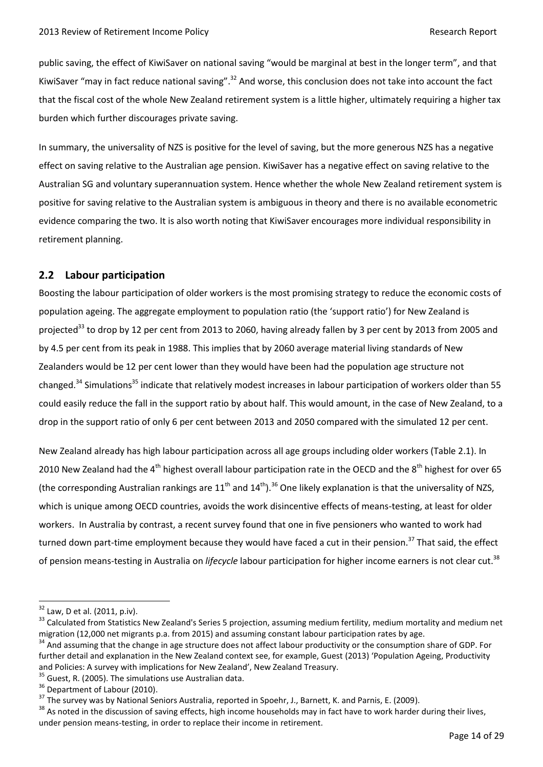public saving, the effect of KiwiSaver on national saving "would be marginal at best in the longer term", and that KiwiSaver "may in fact reduce national saving".<sup>32</sup> And worse, this conclusion does not take into account the fact that the fiscal cost of the whole New Zealand retirement system is a little higher, ultimately requiring a higher tax burden which further discourages private saving.

In summary, the universality of NZS is positive for the level of saving, but the more generous NZS has a negative effect on saving relative to the Australian age pension. KiwiSaver has a negative effect on saving relative to the Australian SG and voluntary superannuation system. Hence whether the whole New Zealand retirement system is positive for saving relative to the Australian system is ambiguous in theory and there is no available econometric evidence comparing the two. It is also worth noting that KiwiSaver encourages more individual responsibility in retirement planning.

# <span id="page-13-0"></span>**2.2 Labour participation**

Boosting the labour participation of older workers is the most promising strategy to reduce the economic costs of population ageing. The aggregate employment to population ratio (the 'support ratio') for New Zealand is projected<sup>33</sup> to drop by 12 per cent from 2013 to 2060, having already fallen by 3 per cent by 2013 from 2005 and by 4.5 per cent from its peak in 1988. This implies that by 2060 average material living standards of New Zealanders would be 12 per cent lower than they would have been had the population age structure not changed.<sup>34</sup> Simulations<sup>35</sup> indicate that relatively modest increases in labour participation of workers older than 55 could easily reduce the fall in the support ratio by about half. This would amount, in the case of New Zealand, to a drop in the support ratio of only 6 per cent between 2013 and 2050 compared with the simulated 12 per cent.

New Zealand already has high labour participation across all age groups including older workers (Table 2.1). In 2010 New Zealand had the 4<sup>th</sup> highest overall labour participation rate in the OECD and the 8<sup>th</sup> highest for over 65 (the corresponding Australian rankings are  $11^{th}$  and  $14^{th}$ ).<sup>36</sup> One likely explanation is that the universality of NZS, which is unique among OECD countries, avoids the work disincentive effects of means-testing, at least for older workers. In Australia by contrast, a recent survey found that one in five pensioners who wanted to work had turned down part-time employment because they would have faced a cut in their pension.<sup>37</sup> That said, the effect of pension means-testing in Australia on *lifecycle* labour participation for higher income earners is not clear cut.<sup>38</sup>

 $32$  Law, D et al. (2011, p.iv).

<sup>&</sup>lt;sup>33</sup> Calculated from Statistics New Zealand's Series 5 projection, assuming medium fertility, medium mortality and medium net migration (12,000 net migrants p.a. from 2015) and assuming constant labour participation rates by age.

<sup>&</sup>lt;sup>34</sup> And assuming that the change in age structure does not affect labour productivity or the consumption share of GDP. For further detail and explanation in the New Zealand context see, for example, Guest (2013) 'Population Ageing, Productivity and Policies: A survey with implications for New Zealand', New Zealand Treasury.

<sup>&</sup>lt;sup>35</sup> Guest, R. (2005). The simulations use Australian data.

<sup>&</sup>lt;sup>36</sup> Department of Labour (2010).

<sup>&</sup>lt;sup>37</sup> The survey was by National Seniors Australia, reported in Spoehr, J., Barnett, K. and Parnis, E. (2009).

<sup>&</sup>lt;sup>38</sup> As noted in the discussion of saving effects, high income households may in fact have to work harder during their lives, under pension means-testing, in order to replace their income in retirement.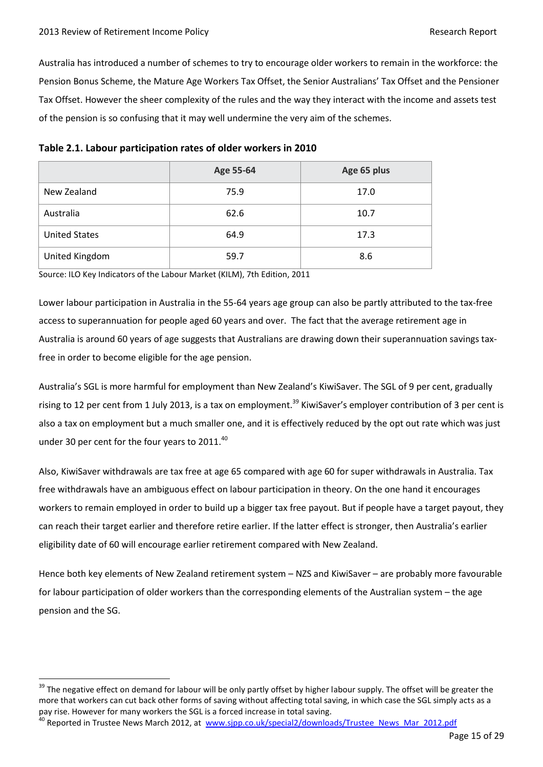$\overline{a}$ 

Australia has introduced a number of schemes to try to encourage older workers to remain in the workforce: the Pension Bonus Scheme, the Mature Age Workers Tax Offset, the Senior Australians' Tax Offset and the Pensioner Tax Offset. However the sheer complexity of the rules and the way they interact with the income and assets test of the pension is so confusing that it may well undermine the very aim of the schemes.

|                      | Age 55-64 | Age 65 plus |
|----------------------|-----------|-------------|
| New Zealand          | 75.9      | 17.0        |
| Australia            | 62.6      | 10.7        |
| <b>United States</b> | 64.9      | 17.3        |
| United Kingdom       | 59.7      | 8.6         |

| Table 2.1. Labour participation rates of older workers in 2010 |  |  |  |
|----------------------------------------------------------------|--|--|--|
|----------------------------------------------------------------|--|--|--|

Source: ILO Key Indicators of the Labour Market (KILM), 7th Edition, 2011

Lower labour participation in Australia in the 55-64 years age group can also be partly attributed to the tax-free access to superannuation for people aged 60 years and over. The fact that the average retirement age in Australia is around 60 years of age suggests that Australians are drawing down their superannuation savings taxfree in order to become eligible for the age pension.

Australia's SGL is more harmful for employment than New Zealand's KiwiSaver. The SGL of 9 per cent, gradually rising to 12 per cent from 1 July 2013, is a tax on employment.<sup>39</sup> KiwiSaver's employer contribution of 3 per cent is also a tax on employment but a much smaller one, and it is effectively reduced by the opt out rate which was just under 30 per cent for the four years to 2011.<sup>40</sup>

Also, KiwiSaver withdrawals are tax free at age 65 compared with age 60 for super withdrawals in Australia. Tax free withdrawals have an ambiguous effect on labour participation in theory. On the one hand it encourages workers to remain employed in order to build up a bigger tax free payout. But if people have a target payout, they can reach their target earlier and therefore retire earlier. If the latter effect is stronger, then Australia's earlier eligibility date of 60 will encourage earlier retirement compared with New Zealand.

Hence both key elements of New Zealand retirement system – NZS and KiwiSaver – are probably more favourable for labour participation of older workers than the corresponding elements of the Australian system – the age pension and the SG.

<sup>&</sup>lt;sup>39</sup> The negative effect on demand for labour will be only partly offset by higher labour supply. The offset will be greater the more that workers can cut back other forms of saving without affecting total saving, in which case the SGL simply acts as a pay rise. However for many workers the SGL is a forced increase in total saving.

<sup>&</sup>lt;sup>40</sup> Reported in Trustee News March 2012, at [www.sjpp.co.uk/special2/downloads/Trustee\\_News\\_Mar\\_2012.pdf](http://www.sjpp.co.uk/special2/downloads/Trustee_News_Mar_2012.pdf)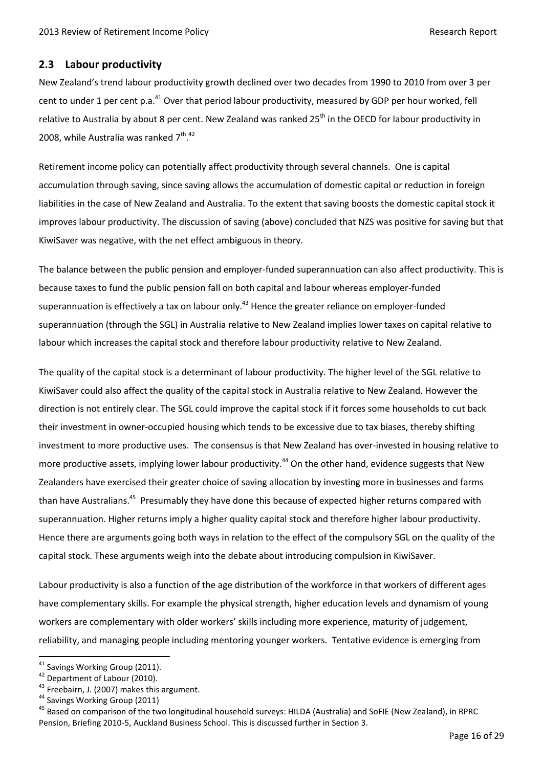# <span id="page-15-0"></span>**2.3 Labour productivity**

New Zealand's trend labour productivity growth declined over two decades from 1990 to 2010 from over 3 per cent to under 1 per cent p.a.<sup>41</sup> Over that period labour productivity, measured by GDP per hour worked, fell relative to Australia by about 8 per cent. New Zealand was ranked 25<sup>th</sup> in the OECD for labour productivity in 2008, while Australia was ranked 7<sup>th</sup>.<sup>42</sup>

Retirement income policy can potentially affect productivity through several channels. One is capital accumulation through saving, since saving allows the accumulation of domestic capital or reduction in foreign liabilities in the case of New Zealand and Australia. To the extent that saving boosts the domestic capital stock it improves labour productivity. The discussion of saving (above) concluded that NZS was positive for saving but that KiwiSaver was negative, with the net effect ambiguous in theory.

The balance between the public pension and employer-funded superannuation can also affect productivity. This is because taxes to fund the public pension fall on both capital and labour whereas employer-funded superannuation is effectively a tax on labour only.<sup>43</sup> Hence the greater reliance on employer-funded superannuation (through the SGL) in Australia relative to New Zealand implies lower taxes on capital relative to labour which increases the capital stock and therefore labour productivity relative to New Zealand.

The quality of the capital stock is a determinant of labour productivity. The higher level of the SGL relative to KiwiSaver could also affect the quality of the capital stock in Australia relative to New Zealand. However the direction is not entirely clear. The SGL could improve the capital stock if it forces some households to cut back their investment in owner-occupied housing which tends to be excessive due to tax biases, thereby shifting investment to more productive uses. The consensus is that New Zealand has over-invested in housing relative to more productive assets, implying lower labour productivity.<sup>44</sup> On the other hand, evidence suggests that New Zealanders have exercised their greater choice of saving allocation by investing more in businesses and farms than have Australians.<sup>45</sup> Presumably they have done this because of expected higher returns compared with superannuation. Higher returns imply a higher quality capital stock and therefore higher labour productivity. Hence there are arguments going both ways in relation to the effect of the compulsory SGL on the quality of the capital stock. These arguments weigh into the debate about introducing compulsion in KiwiSaver.

Labour productivity is also a function of the age distribution of the workforce in that workers of different ages have complementary skills. For example the physical strength, higher education levels and dynamism of young workers are complementary with older workers' skills including more experience, maturity of judgement, reliability, and managing people including mentoring younger workers. Tentative evidence is emerging from

<sup>&</sup>lt;sup>41</sup> Savings Working Group (2011).

<sup>42</sup> Department of Labour (2010).

<sup>&</sup>lt;sup>43</sup> Freebairn, J. (2007) makes this argument.

<sup>44</sup> Savings Working Group (2011)

<sup>&</sup>lt;sup>45</sup> Based on comparison of the two longitudinal household surveys: HILDA (Australia) and SoFIE (New Zealand), in RPRC Pension, Briefing 2010-5, Auckland Business School. This is discussed further in Section 3.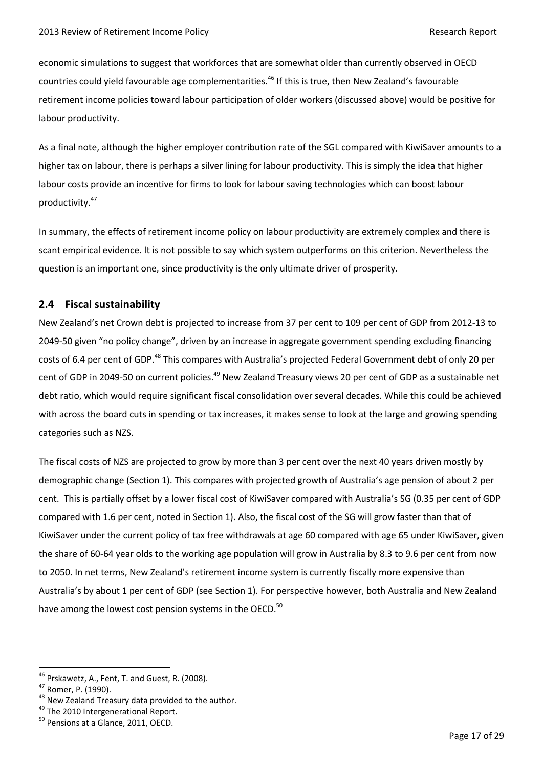economic simulations to suggest that workforces that are somewhat older than currently observed in OECD countries could yield favourable age complementarities.<sup>46</sup> If this is true, then New Zealand's favourable retirement income policies toward labour participation of older workers (discussed above) would be positive for labour productivity.

As a final note, although the higher employer contribution rate of the SGL compared with KiwiSaver amounts to a higher tax on labour, there is perhaps a silver lining for labour productivity. This is simply the idea that higher labour costs provide an incentive for firms to look for labour saving technologies which can boost labour productivity. 47

In summary, the effects of retirement income policy on labour productivity are extremely complex and there is scant empirical evidence. It is not possible to say which system outperforms on this criterion. Nevertheless the question is an important one, since productivity is the only ultimate driver of prosperity.

# <span id="page-16-0"></span>**2.4 Fiscal sustainability**

New Zealand's net Crown debt is projected to increase from 37 per cent to 109 per cent of GDP from 2012-13 to 2049-50 given "no policy change", driven by an increase in aggregate government spending excluding financing costs of 6.4 per cent of GDP.<sup>48</sup> This compares with Australia's projected Federal Government debt of only 20 per cent of GDP in 2049-50 on current policies.<sup>49</sup> New Zealand Treasury views 20 per cent of GDP as a sustainable net debt ratio, which would require significant fiscal consolidation over several decades. While this could be achieved with across the board cuts in spending or tax increases, it makes sense to look at the large and growing spending categories such as NZS.

The fiscal costs of NZS are projected to grow by more than 3 per cent over the next 40 years driven mostly by demographic change (Section 1). This compares with projected growth of Australia's age pension of about 2 per cent. This is partially offset by a lower fiscal cost of KiwiSaver compared with Australia's SG (0.35 per cent of GDP compared with 1.6 per cent, noted in Section 1). Also, the fiscal cost of the SG will grow faster than that of KiwiSaver under the current policy of tax free withdrawals at age 60 compared with age 65 under KiwiSaver, given the share of 60-64 year olds to the working age population will grow in Australia by 8.3 to 9.6 per cent from now to 2050. In net terms, New Zealand's retirement income system is currently fiscally more expensive than Australia's by about 1 per cent of GDP (see Section 1). For perspective however, both Australia and New Zealand have among the lowest cost pension systems in the OECD.<sup>50</sup>

<sup>46</sup> Prskawetz, A., Fent, T. and Guest, R. (2008).

<sup>47</sup> Romer, P. (1990).

<sup>&</sup>lt;sup>48</sup> New Zealand Treasury data provided to the author.

<sup>&</sup>lt;sup>49</sup> The 2010 Intergenerational Report.

<sup>&</sup>lt;sup>50</sup> Pensions at a Glance, 2011, OECD.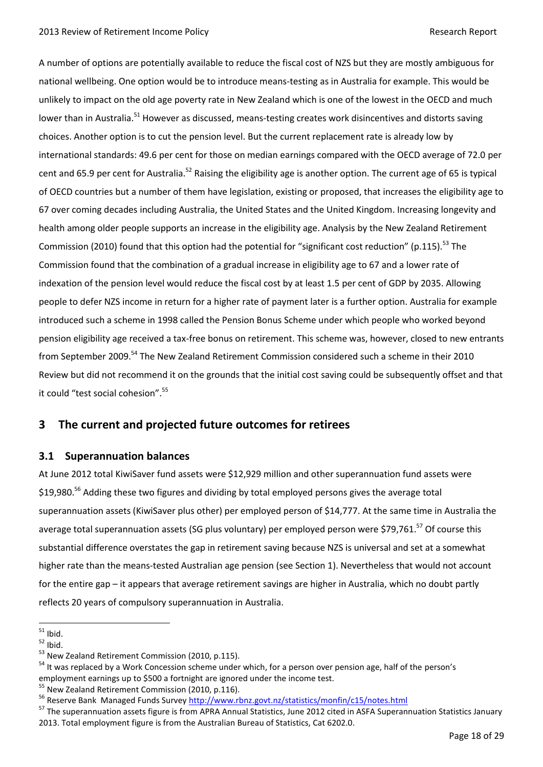A number of options are potentially available to reduce the fiscal cost of NZS but they are mostly ambiguous for national wellbeing. One option would be to introduce means-testing as in Australia for example. This would be unlikely to impact on the old age poverty rate in New Zealand which is one of the lowest in the OECD and much lower than in Australia.<sup>51</sup> However as discussed, means-testing creates work disincentives and distorts saving choices. Another option is to cut the pension level. But the current replacement rate is already low by international standards: 49.6 per cent for those on median earnings compared with the OECD average of 72.0 per cent and 65.9 per cent for Australia.<sup>52</sup> Raising the eligibility age is another option. The current age of 65 is typical of OECD countries but a number of them have legislation, existing or proposed, that increases the eligibility age to 67 over coming decades including Australia, the United States and the United Kingdom. Increasing longevity and health among older people supports an increase in the eligibility age. Analysis by the New Zealand Retirement Commission (2010) found that this option had the potential for "significant cost reduction" (p.115).<sup>53</sup> The Commission found that the combination of a gradual increase in eligibility age to 67 and a lower rate of indexation of the pension level would reduce the fiscal cost by at least 1.5 per cent of GDP by 2035. Allowing people to defer NZS income in return for a higher rate of payment later is a further option. Australia for example introduced such a scheme in 1998 called the Pension Bonus Scheme under which people who worked beyond pension eligibility age received a tax-free bonus on retirement. This scheme was, however, closed to new entrants from September 2009.<sup>54</sup> The New Zealand Retirement Commission considered such a scheme in their 2010 Review but did not recommend it on the grounds that the initial cost saving could be subsequently offset and that it could "test social cohesion".<sup>55</sup>

# <span id="page-17-0"></span>**3 The current and projected future outcomes for retirees**

### <span id="page-17-1"></span>**3.1 Superannuation balances**

At June 2012 total KiwiSaver fund assets were \$12,929 million and other superannuation fund assets were \$19,980.<sup>56</sup> Adding these two figures and dividing by total employed persons gives the average total superannuation assets (KiwiSaver plus other) per employed person of \$14,777. At the same time in Australia the average total superannuation assets (SG plus voluntary) per employed person were \$79,761.<sup>57</sup> Of course this substantial difference overstates the gap in retirement saving because NZS is universal and set at a somewhat higher rate than the means-tested Australian age pension (see Section 1). Nevertheless that would not account for the entire gap – it appears that average retirement savings are higher in Australia, which no doubt partly reflects 20 years of compulsory superannuation in Australia.

 $\overline{a}$  $51$  Ibid.

 $52$  Ibid.

<sup>&</sup>lt;sup>53</sup> New Zealand Retirement Commission (2010, p.115).

<sup>&</sup>lt;sup>54</sup> It was replaced by a Work Concession scheme under which, for a person over pension age, half of the person's employment earnings up to \$500 a fortnight are ignored under the income test.

<sup>&</sup>lt;sup>55</sup> New Zealand Retirement Commission (2010, p.116).

<sup>&</sup>lt;sup>56</sup> Reserve Bank Managed Funds Survey<http://www.rbnz.govt.nz/statistics/monfin/c15/notes.html>

<sup>&</sup>lt;sup>57</sup> The superannuation assets figure is from APRA Annual Statistics, June 2012 cited in ASFA Superannuation Statistics January 2013. Total employment figure is from the Australian Bureau of Statistics, Cat 6202.0.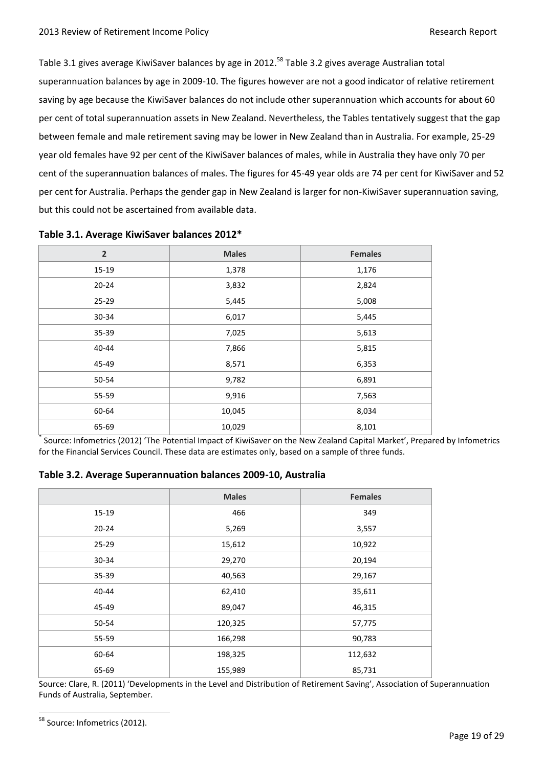Table 3.1 gives average KiwiSaver balances by age in 2012.<sup>58</sup> Table 3.2 gives average Australian total superannuation balances by age in 2009-10. The figures however are not a good indicator of relative retirement saving by age because the KiwiSaver balances do not include other superannuation which accounts for about 60 per cent of total superannuation assets in New Zealand. Nevertheless, the Tables tentatively suggest that the gap between female and male retirement saving may be lower in New Zealand than in Australia. For example, 25-29 year old females have 92 per cent of the KiwiSaver balances of males, while in Australia they have only 70 per cent of the superannuation balances of males. The figures for 45-49 year olds are 74 per cent for KiwiSaver and 52 per cent for Australia. Perhaps the gender gap in New Zealand is larger for non-KiwiSaver superannuation saving, but this could not be ascertained from available data.

| $\overline{2}$ | <b>Males</b> | <b>Females</b> |
|----------------|--------------|----------------|
| $15-19$        | 1,378        | 1,176          |
| $20 - 24$      | 3,832        | 2,824          |
| 25-29          | 5,445        | 5,008          |
| 30-34          | 6,017        | 5,445          |
| 35-39          | 7,025        | 5,613          |
| 40-44          | 7,866        | 5,815          |
| 45-49          | 8,571        | 6,353          |
| 50-54          | 9,782        | 6,891          |
| 55-59          | 9,916        | 7,563          |
| 60-64          | 10,045       | 8,034          |
| 65-69          | 10,029       | 8,101          |

**Table 3.1. Average KiwiSaver balances 2012\***

\* Source: Infometrics (2012) 'The Potential Impact of KiwiSaver on the New Zealand Capital Market', Prepared by Infometrics for the Financial Services Council. These data are estimates only, based on a sample of three funds.

|           | <b>Males</b> | <b>Females</b> |
|-----------|--------------|----------------|
| 15-19     | 466          | 349            |
| $20 - 24$ | 5,269        | 3,557          |
| $25 - 29$ | 15,612       | 10,922         |
| 30-34     | 29,270       | 20,194         |
| 35-39     | 40,563       | 29,167         |
| 40-44     | 62,410       | 35,611         |
| 45-49     | 89,047       | 46,315         |
| 50-54     | 120,325      | 57,775         |
| 55-59     | 166,298      | 90,783         |
| 60-64     | 198,325      | 112,632        |
| 65-69     | 155,989      | 85,731         |

Source: Clare, R. (2011) 'Developments in the Level and Distribution of Retirement Saving', Association of Superannuation Funds of Australia, September.

<sup>&</sup>lt;sup>58</sup> Source: Infometrics (2012).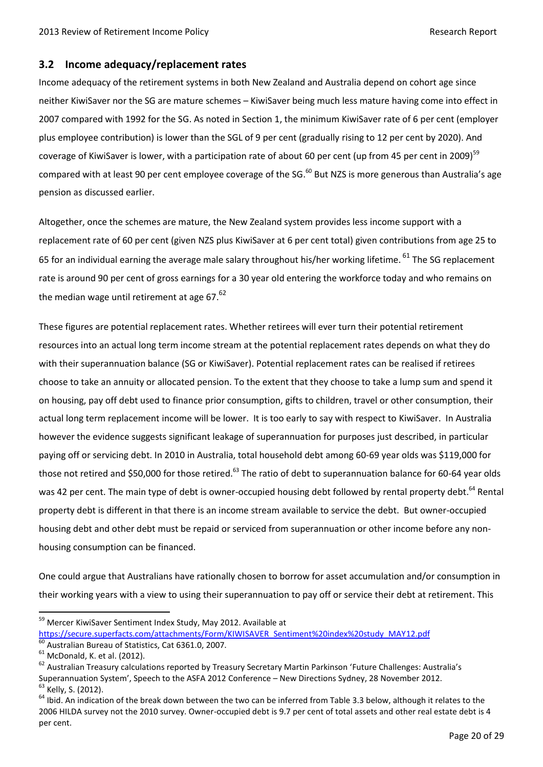# <span id="page-19-0"></span>**3.2 Income adequacy/replacement rates**

Income adequacy of the retirement systems in both New Zealand and Australia depend on cohort age since neither KiwiSaver nor the SG are mature schemes – KiwiSaver being much less mature having come into effect in 2007 compared with 1992 for the SG. As noted in Section 1, the minimum KiwiSaver rate of 6 per cent (employer plus employee contribution) is lower than the SGL of 9 per cent (gradually rising to 12 per cent by 2020). And coverage of KiwiSaver is lower, with a participation rate of about 60 per cent (up from 45 per cent in 2009)<sup>59</sup> compared with at least 90 per cent employee coverage of the SG.<sup>60</sup> But NZS is more generous than Australia's age pension as discussed earlier.

Altogether, once the schemes are mature, the New Zealand system provides less income support with a replacement rate of 60 per cent (given NZS plus KiwiSaver at 6 per cent total) given contributions from age 25 to 65 for an individual earning the average male salary throughout his/her working lifetime. <sup>61</sup> The SG replacement rate is around 90 per cent of gross earnings for a 30 year old entering the workforce today and who remains on the median wage until retirement at age  $67.<sup>62</sup>$ 

These figures are potential replacement rates. Whether retirees will ever turn their potential retirement resources into an actual long term income stream at the potential replacement rates depends on what they do with their superannuation balance (SG or KiwiSaver). Potential replacement rates can be realised if retirees choose to take an annuity or allocated pension. To the extent that they choose to take a lump sum and spend it on housing, pay off debt used to finance prior consumption, gifts to children, travel or other consumption, their actual long term replacement income will be lower. It is too early to say with respect to KiwiSaver. In Australia however the evidence suggests significant leakage of superannuation for purposes just described, in particular paying off or servicing debt. In 2010 in Australia, total household debt among 60-69 year olds was \$119,000 for those not retired and \$50,000 for those retired.<sup>63</sup> The ratio of debt to superannuation balance for 60-64 year olds was 42 per cent. The main type of debt is owner-occupied housing debt followed by rental property debt.<sup>64</sup> Rental property debt is different in that there is an income stream available to service the debt. But owner-occupied housing debt and other debt must be repaid or serviced from superannuation or other income before any nonhousing consumption can be financed.

One could argue that Australians have rationally chosen to borrow for asset accumulation and/or consumption in their working years with a view to using their superannuation to pay off or service their debt at retirement. This

<sup>&</sup>lt;sup>59</sup> Mercer KiwiSaver Sentiment Index Study, May 2012. Available at [https://secure.superfacts.com/attachments/Form/KIWISAVER\\_Sentiment%20index%20study\\_MAY12.pdf](https://secure.superfacts.com/attachments/Form/KIWISAVER_Sentiment%20index%20study_MAY12.pdf)

Australian Bureau of Statistics, Cat 6361.0, 2007.

 $61$  McDonald, K. et al. (2012).

<sup>&</sup>lt;sup>62</sup> Australian Treasury calculations reported by Treasury Secretary Martin Parkinson 'Future Challenges: Australia's Superannuation System', Speech to the ASFA 2012 Conference – New Directions Sydney, 28 November 2012. <sup>63</sup> Kelly, S. (2012).

 $64$  Ibid. An indication of the break down between the two can be inferred from Table 3.3 below, although it relates to the 2006 HILDA survey not the 2010 survey. Owner-occupied debt is 9.7 per cent of total assets and other real estate debt is 4 per cent.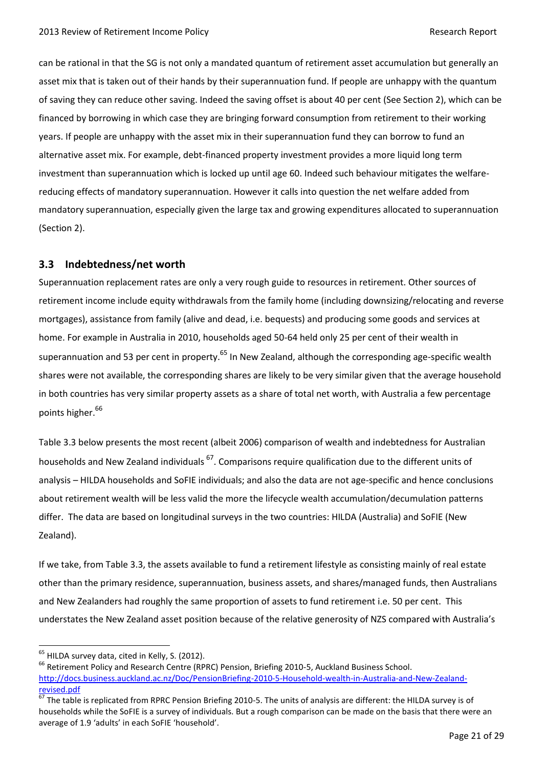can be rational in that the SG is not only a mandated quantum of retirement asset accumulation but generally an asset mix that is taken out of their hands by their superannuation fund. If people are unhappy with the quantum of saving they can reduce other saving. Indeed the saving offset is about 40 per cent (See Section 2), which can be financed by borrowing in which case they are bringing forward consumption from retirement to their working years. If people are unhappy with the asset mix in their superannuation fund they can borrow to fund an alternative asset mix. For example, debt-financed property investment provides a more liquid long term investment than superannuation which is locked up until age 60. Indeed such behaviour mitigates the welfarereducing effects of mandatory superannuation. However it calls into question the net welfare added from mandatory superannuation, especially given the large tax and growing expenditures allocated to superannuation (Section 2).

# <span id="page-20-0"></span>**3.3 Indebtedness/net worth**

Superannuation replacement rates are only a very rough guide to resources in retirement. Other sources of retirement income include equity withdrawals from the family home (including downsizing/relocating and reverse mortgages), assistance from family (alive and dead, i.e. bequests) and producing some goods and services at home. For example in Australia in 2010, households aged 50-64 held only 25 per cent of their wealth in superannuation and 53 per cent in property.<sup>65</sup> In New Zealand, although the corresponding age-specific wealth shares were not available, the corresponding shares are likely to be very similar given that the average household in both countries has very similar property assets as a share of total net worth, with Australia a few percentage points higher.<sup>66</sup>

Table 3.3 below presents the most recent (albeit 2006) comparison of wealth and indebtedness for Australian households and New Zealand individuals <sup>67</sup>. Comparisons require qualification due to the different units of analysis – HILDA households and SoFIE individuals; and also the data are not age-specific and hence conclusions about retirement wealth will be less valid the more the lifecycle wealth accumulation/decumulation patterns differ. The data are based on longitudinal surveys in the two countries: HILDA (Australia) and SoFIE (New Zealand).

If we take, from Table 3.3, the assets available to fund a retirement lifestyle as consisting mainly of real estate other than the primary residence, superannuation, business assets, and shares/managed funds, then Australians and New Zealanders had roughly the same proportion of assets to fund retirement i.e. 50 per cent. This understates the New Zealand asset position because of the relative generosity of NZS compared with Australia's

 $<sup>65</sup>$  HILDA survey data, cited in Kelly, S. (2012).</sup>

<sup>&</sup>lt;sup>66</sup> Retirement Policy and Research Centre (RPRC) Pension, Briefing 2010-5, Auckland Business School. [http://docs.business.auckland.ac.nz/Doc/PensionBriefing-2010-5-Household-wealth-in-Australia-and-New-Zealand](http://docs.business.auckland.ac.nz/Doc/PensionBriefing-2010-5-Household-wealth-in-Australia-and-New-Zealand-revised.pdf)[revised.pdf](http://docs.business.auckland.ac.nz/Doc/PensionBriefing-2010-5-Household-wealth-in-Australia-and-New-Zealand-revised.pdf)

<sup>67</sup> The table is replicated from RPRC Pension Briefing 2010-5. The units of analysis are different: the HILDA survey is of households while the SoFIE is a survey of individuals. But a rough comparison can be made on the basis that there were an average of 1.9 'adults' in each SoFIE 'household'.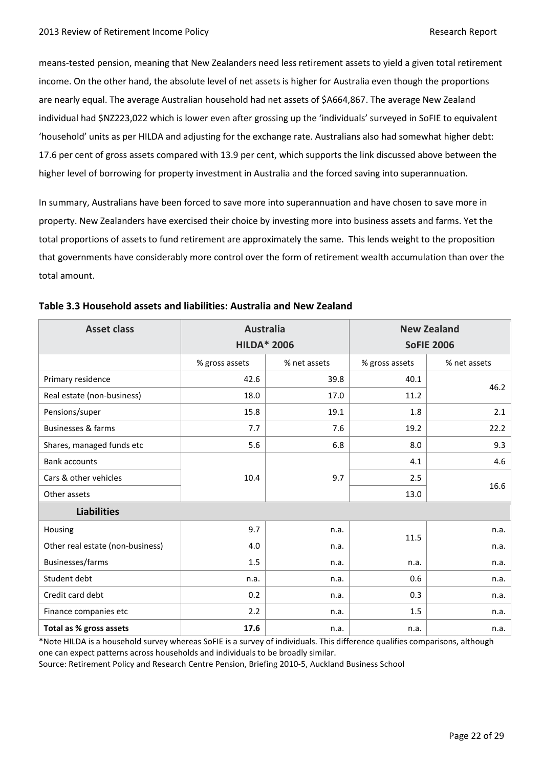means-tested pension, meaning that New Zealanders need less retirement assets to yield a given total retirement income. On the other hand, the absolute level of net assets is higher for Australia even though the proportions are nearly equal. The average Australian household had net assets of \$A664,867. The average New Zealand individual had \$NZ223,022 which is lower even after grossing up the 'individuals' surveyed in SoFIE to equivalent 'household' units as per HILDA and adjusting for the exchange rate. Australians also had somewhat higher debt: 17.6 per cent of gross assets compared with 13.9 per cent, which supports the link discussed above between the higher level of borrowing for property investment in Australia and the forced saving into superannuation.

In summary, Australians have been forced to save more into superannuation and have chosen to save more in property. New Zealanders have exercised their choice by investing more into business assets and farms. Yet the total proportions of assets to fund retirement are approximately the same. This lends weight to the proposition that governments have considerably more control over the form of retirement wealth accumulation than over the total amount.

| <b>Asset class</b>               | <b>Australia</b><br><b>HILDA* 2006</b> |              | <b>New Zealand</b><br><b>SoFIE 2006</b> |              |
|----------------------------------|----------------------------------------|--------------|-----------------------------------------|--------------|
|                                  | % gross assets                         | % net assets | % gross assets                          | % net assets |
| Primary residence                | 42.6                                   | 39.8         | 40.1                                    |              |
| Real estate (non-business)       | 18.0                                   | 17.0         | 11.2                                    | 46.2         |
| Pensions/super                   | 15.8                                   | 19.1         | 1.8                                     | 2.1          |
| <b>Businesses &amp; farms</b>    | 7.7                                    | 7.6          | 19.2                                    | 22.2         |
| Shares, managed funds etc        | 5.6                                    | 6.8          | 8.0                                     | 9.3          |
| <b>Bank accounts</b>             | 10.4                                   | 9.7          | 4.1                                     | 4.6          |
| Cars & other vehicles            |                                        |              | 2.5                                     |              |
| Other assets                     |                                        |              | 13.0                                    | 16.6         |
| <b>Liabilities</b>               |                                        |              |                                         |              |
| Housing                          | 9.7                                    | n.a.         |                                         | n.a.         |
| Other real estate (non-business) | 4.0                                    | n.a.         | 11.5                                    | n.a.         |
| Businesses/farms                 | 1.5                                    | n.a.         | n.a.                                    | n.a.         |
| Student debt                     | n.a.                                   | n.a.         | 0.6                                     | n.a.         |
| Credit card debt                 | 0.2                                    | n.a.         | 0.3                                     | n.a.         |
| Finance companies etc            | 2.2                                    | n.a.         | 1.5                                     | n.a.         |
| Total as % gross assets          | 17.6                                   | n.a.         | n.a.                                    | n.a.         |

\*Note HILDA is a household survey whereas SoFIE is a survey of individuals. This difference qualifies comparisons, although one can expect patterns across households and individuals to be broadly similar.

Source: Retirement Policy and Research Centre Pension, Briefing 2010-5, Auckland Business School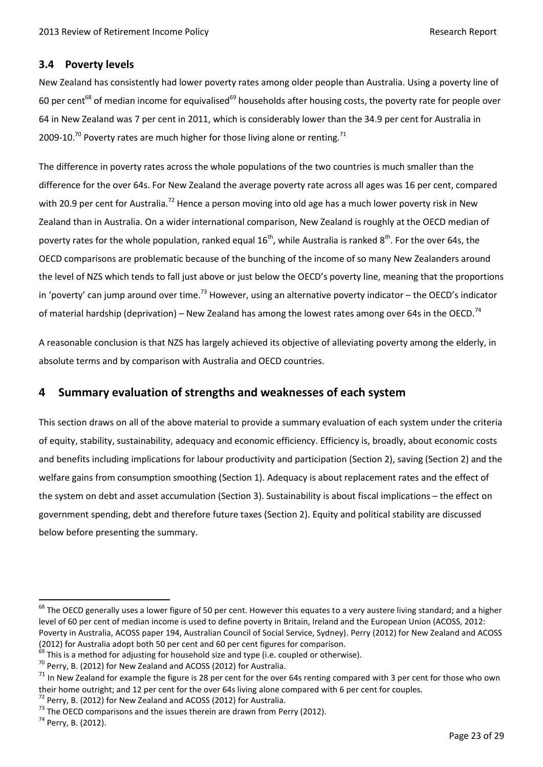# <span id="page-22-0"></span>**3.4 Poverty levels**

New Zealand has consistently had lower poverty rates among older people than Australia. Using a poverty line of 60 per cent<sup>68</sup> of median income for equivalised<sup>69</sup> households after housing costs, the poverty rate for people over 64 in New Zealand was 7 per cent in 2011, which is considerably lower than the 34.9 per cent for Australia in 2009-10.<sup>70</sup> Poverty rates are much higher for those living alone or renting.<sup>71</sup>

The difference in poverty rates across the whole populations of the two countries is much smaller than the difference for the over 64s. For New Zealand the average poverty rate across all ages was 16 per cent, compared with 20.9 per cent for Australia.<sup>72</sup> Hence a person moving into old age has a much lower poverty risk in New Zealand than in Australia. On a wider international comparison, New Zealand is roughly at the OECD median of poverty rates for the whole population, ranked equal  $16<sup>th</sup>$ , while Australia is ranked  $8<sup>th</sup>$ . For the over 64s, the OECD comparisons are problematic because of the bunching of the income of so many New Zealanders around the level of NZS which tends to fall just above or just below the OECD's poverty line, meaning that the proportions in 'poverty' can jump around over time.<sup>73</sup> However, using an alternative poverty indicator – the OECD's indicator of material hardship (deprivation) – New Zealand has among the lowest rates among over 64s in the OECD.<sup>74</sup>

A reasonable conclusion is that NZS has largely achieved its objective of alleviating poverty among the elderly, in absolute terms and by comparison with Australia and OECD countries.

# <span id="page-22-1"></span>**4 Summary evaluation of strengths and weaknesses of each system**

This section draws on all of the above material to provide a summary evaluation of each system under the criteria of equity, stability, sustainability, adequacy and economic efficiency. Efficiency is, broadly, about economic costs and benefits including implications for labour productivity and participation (Section 2), saving (Section 2) and the welfare gains from consumption smoothing (Section 1). Adequacy is about replacement rates and the effect of the system on debt and asset accumulation (Section 3). Sustainability is about fiscal implications – the effect on government spending, debt and therefore future taxes (Section 2). Equity and political stability are discussed below before presenting the summary.

<sup>&</sup>lt;sup>68</sup> The OECD generally uses a lower figure of 50 per cent. However this equates to a very austere living standard; and a higher level of 60 per cent of median income is used to define poverty in Britain, Ireland and the European Union (ACOSS, 2012: Poverty in Australia, ACOSS paper 194, Australian Council of Social Service, Sydney). Perry (2012) for New Zealand and ACOSS (2012) for Australia adopt both 50 per cent and 60 per cent figures for comparison.

 $69$  This is a method for adjusting for household size and type (i.e. coupled or otherwise).

<sup>&</sup>lt;sup>70</sup> Perry, B. (2012) for New Zealand and ACOSS (2012) for Australia.

 $71$  In New Zealand for example the figure is 28 per cent for the over 64s renting compared with 3 per cent for those who own their home outright; and 12 per cent for the over 64s living alone compared with 6 per cent for couples.

 $72$  Perry, B. (2012) for New Zealand and ACOSS (2012) for Australia.

 $73$  The OECD comparisons and the issues therein are drawn from Perry (2012).

<sup>74</sup> Perry, B. (2012).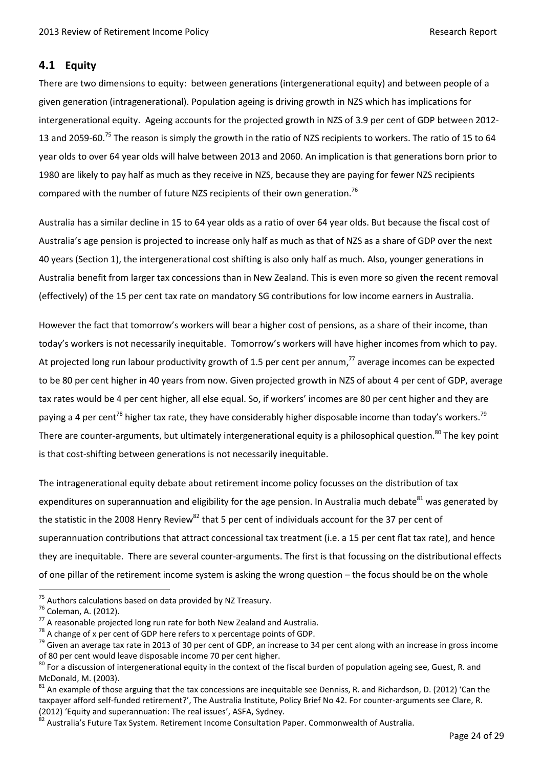## <span id="page-23-0"></span>**4.1 Equity**

There are two dimensions to equity: between generations (intergenerational equity) and between people of a given generation (intragenerational). Population ageing is driving growth in NZS which has implications for intergenerational equity. Ageing accounts for the projected growth in NZS of 3.9 per cent of GDP between 2012- 13 and 2059-60.<sup>75</sup> The reason is simply the growth in the ratio of NZS recipients to workers. The ratio of 15 to 64 year olds to over 64 year olds will halve between 2013 and 2060. An implication is that generations born prior to 1980 are likely to pay half as much as they receive in NZS, because they are paying for fewer NZS recipients compared with the number of future NZS recipients of their own generation.<sup>76</sup>

Australia has a similar decline in 15 to 64 year olds as a ratio of over 64 year olds. But because the fiscal cost of Australia's age pension is projected to increase only half as much as that of NZS as a share of GDP over the next 40 years (Section 1), the intergenerational cost shifting is also only half as much. Also, younger generations in Australia benefit from larger tax concessions than in New Zealand. This is even more so given the recent removal (effectively) of the 15 per cent tax rate on mandatory SG contributions for low income earners in Australia.

However the fact that tomorrow's workers will bear a higher cost of pensions, as a share of their income, than today's workers is not necessarily inequitable. Tomorrow's workers will have higher incomes from which to pay. At projected long run labour productivity growth of 1.5 per cent per annum,<sup>77</sup> average incomes can be expected to be 80 per cent higher in 40 years from now. Given projected growth in NZS of about 4 per cent of GDP, average tax rates would be 4 per cent higher, all else equal. So, if workers' incomes are 80 per cent higher and they are paying a 4 per cent<sup>78</sup> higher tax rate, they have considerably higher disposable income than today's workers.<sup>79</sup> There are counter-arguments, but ultimately intergenerational equity is a philosophical question.<sup>80</sup> The key point is that cost-shifting between generations is not necessarily inequitable.

The intragenerational equity debate about retirement income policy focusses on the distribution of tax expenditures on superannuation and eligibility for the age pension. In Australia much debate<sup>81</sup> was generated by the statistic in the 2008 Henry Review<sup>82</sup> that 5 per cent of individuals account for the 37 per cent of superannuation contributions that attract concessional tax treatment (i.e. a 15 per cent flat tax rate), and hence they are inequitable. There are several counter-arguments. The first is that focussing on the distributional effects of one pillar of the retirement income system is asking the wrong question – the focus should be on the whole

 $75$  Authors calculations based on data provided by NZ Treasury.

<sup>76</sup> Coleman, A. (2012).

 $77$  A reasonable projected long run rate for both New Zealand and Australia.

 $^{78}$  A change of x per cent of GDP here refers to x percentage points of GDP.

<sup>&</sup>lt;sup>79</sup> Given an average tax rate in 2013 of 30 per cent of GDP, an increase to 34 per cent along with an increase in gross income of 80 per cent would leave disposable income 70 per cent higher.

 $80$  For a discussion of intergenerational equity in the context of the fiscal burden of population ageing see, Guest, R. and McDonald, M. (2003).

<sup>&</sup>lt;sup>81</sup> An example of those arguing that the tax concessions are inequitable see Denniss, R. and Richardson, D. (2012) 'Can the taxpayer afford self-funded retirement?', The Australia Institute, Policy Brief No 42. For counter-arguments see Clare, R. (2012) 'Equity and superannuation: The real issues', ASFA, Sydney.

<sup>82</sup> Australia's Future Tax System. Retirement Income Consultation Paper. Commonwealth of Australia.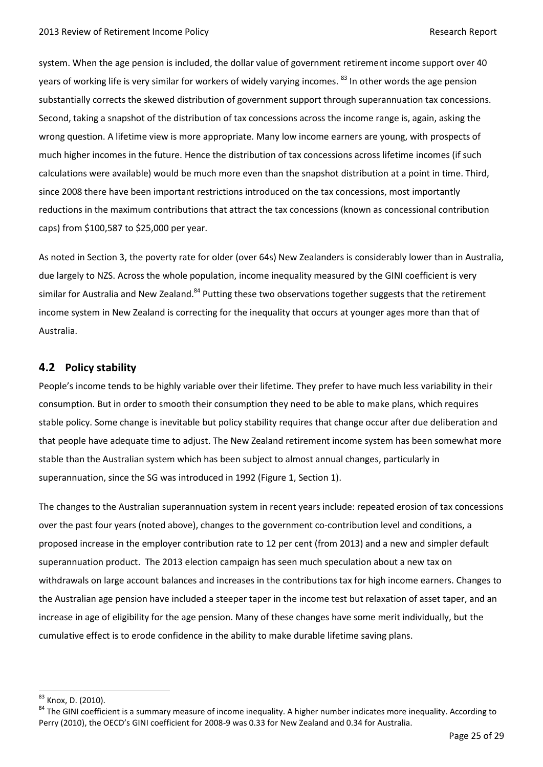system. When the age pension is included, the dollar value of government retirement income support over 40 years of working life is very similar for workers of widely varying incomes. <sup>83</sup> In other words the age pension substantially corrects the skewed distribution of government support through superannuation tax concessions. Second, taking a snapshot of the distribution of tax concessions across the income range is, again, asking the wrong question. A lifetime view is more appropriate. Many low income earners are young, with prospects of much higher incomes in the future. Hence the distribution of tax concessions across lifetime incomes (if such calculations were available) would be much more even than the snapshot distribution at a point in time. Third, since 2008 there have been important restrictions introduced on the tax concessions, most importantly reductions in the maximum contributions that attract the tax concessions (known as concessional contribution caps) from \$100,587 to \$25,000 per year.

As noted in Section 3, the poverty rate for older (over 64s) New Zealanders is considerably lower than in Australia, due largely to NZS. Across the whole population, income inequality measured by the GINI coefficient is very similar for Australia and New Zealand.<sup>84</sup> Putting these two observations together suggests that the retirement income system in New Zealand is correcting for the inequality that occurs at younger ages more than that of Australia.

# <span id="page-24-0"></span>**4.2 Policy stability**

People's income tends to be highly variable over their lifetime. They prefer to have much less variability in their consumption. But in order to smooth their consumption they need to be able to make plans, which requires stable policy. Some change is inevitable but policy stability requires that change occur after due deliberation and that people have adequate time to adjust. The New Zealand retirement income system has been somewhat more stable than the Australian system which has been subject to almost annual changes, particularly in superannuation, since the SG was introduced in 1992 (Figure 1, Section 1).

The changes to the Australian superannuation system in recent years include: repeated erosion of tax concessions over the past four years (noted above), changes to the government co-contribution level and conditions, a proposed increase in the employer contribution rate to 12 per cent (from 2013) and a new and simpler default superannuation product. The 2013 election campaign has seen much speculation about a new tax on withdrawals on large account balances and increases in the contributions tax for high income earners. Changes to the Australian age pension have included a steeper taper in the income test but relaxation of asset taper, and an increase in age of eligibility for the age pension. Many of these changes have some merit individually, but the cumulative effect is to erode confidence in the ability to make durable lifetime saving plans.

<sup>83</sup> Knox, D. (2010).

<sup>&</sup>lt;sup>84</sup> The GINI coefficient is a summary measure of income inequality. A higher number indicates more inequality. According to Perry (2010), the OECD's GINI coefficient for 2008-9 was 0.33 for New Zealand and 0.34 for Australia.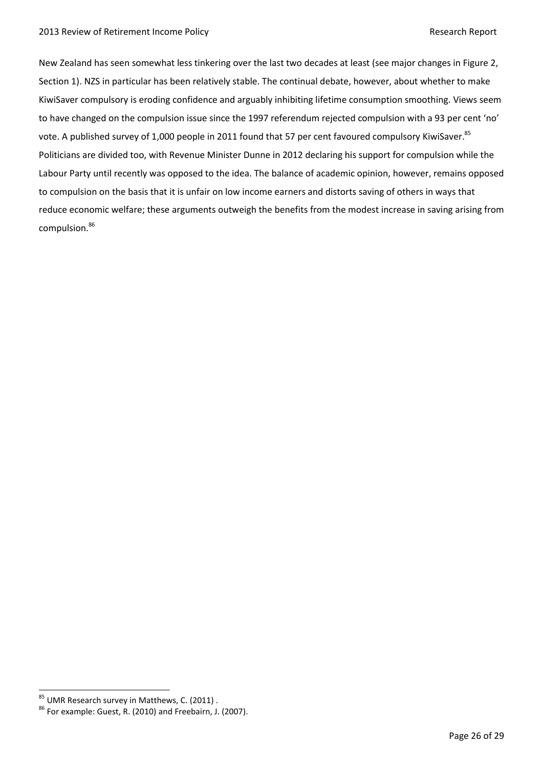New Zealand has seen somewhat less tinkering over the last two decades at least (see major changes in Figure 2, Section 1). NZS in particular has been relatively stable. The continual debate, however, about whether to make KiwiSaver compulsory is eroding confidence and arguably inhibiting lifetime consumption smoothing. Views seem to have changed on the compulsion issue since the 1997 referendum rejected compulsion with a 93 per cent 'no' vote. A published survey of 1,000 people in 2011 found that 57 per cent favoured compulsory KiwiSaver.<sup>85</sup> Politicians are divided too, with Revenue Minister Dunne in 2012 declaring his support for compulsion while the Labour Party until recently was opposed to the idea. The balance of academic opinion, however, remains opposed to compulsion on the basis that it is unfair on low income earners and distorts saving of others in ways that reduce economic welfare; these arguments outweigh the benefits from the modest increase in saving arising from compulsion.<sup>86</sup>

<sup>&</sup>lt;sup>85</sup> UMR Research survey in Matthews, C. (2011).

<sup>86</sup> For example: Guest, R. (2010) and Freebairn, J. (2007).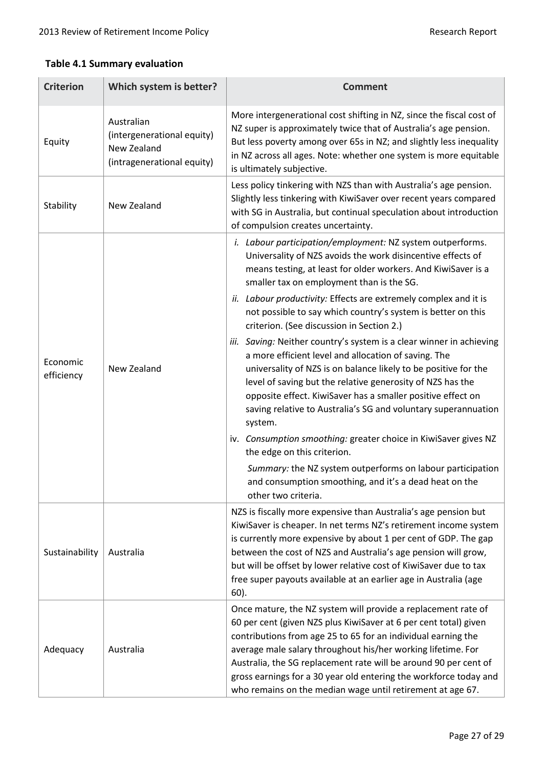### **Table 4.1 Summary evaluation**

| <b>Criterion</b>       | Which system is better?                                                               | <b>Comment</b>                                                                                                                                                                                                                                                                                                                                                                                                                                                                                                                                                                                                                                                                                                                                                                                                                                                                                                                                                                                                                                                                         |
|------------------------|---------------------------------------------------------------------------------------|----------------------------------------------------------------------------------------------------------------------------------------------------------------------------------------------------------------------------------------------------------------------------------------------------------------------------------------------------------------------------------------------------------------------------------------------------------------------------------------------------------------------------------------------------------------------------------------------------------------------------------------------------------------------------------------------------------------------------------------------------------------------------------------------------------------------------------------------------------------------------------------------------------------------------------------------------------------------------------------------------------------------------------------------------------------------------------------|
| Equity                 | Australian<br>(intergenerational equity)<br>New Zealand<br>(intragenerational equity) | More intergenerational cost shifting in NZ, since the fiscal cost of<br>NZ super is approximately twice that of Australia's age pension.<br>But less poverty among over 65s in NZ; and slightly less inequality<br>in NZ across all ages. Note: whether one system is more equitable<br>is ultimately subjective.                                                                                                                                                                                                                                                                                                                                                                                                                                                                                                                                                                                                                                                                                                                                                                      |
| Stability              | New Zealand                                                                           | Less policy tinkering with NZS than with Australia's age pension.<br>Slightly less tinkering with KiwiSaver over recent years compared<br>with SG in Australia, but continual speculation about introduction<br>of compulsion creates uncertainty.                                                                                                                                                                                                                                                                                                                                                                                                                                                                                                                                                                                                                                                                                                                                                                                                                                     |
| Economic<br>efficiency | New Zealand                                                                           | i. Labour participation/employment: NZ system outperforms.<br>Universality of NZS avoids the work disincentive effects of<br>means testing, at least for older workers. And KiwiSaver is a<br>smaller tax on employment than is the SG.<br>ii. Labour productivity: Effects are extremely complex and it is<br>not possible to say which country's system is better on this<br>criterion. (See discussion in Section 2.)<br>iii. Saving: Neither country's system is a clear winner in achieving<br>a more efficient level and allocation of saving. The<br>universality of NZS is on balance likely to be positive for the<br>level of saving but the relative generosity of NZS has the<br>opposite effect. KiwiSaver has a smaller positive effect on<br>saving relative to Australia's SG and voluntary superannuation<br>system.<br>iv. Consumption smoothing: greater choice in KiwiSaver gives NZ<br>the edge on this criterion.<br>Summary: the NZ system outperforms on labour participation<br>and consumption smoothing, and it's a dead heat on the<br>other two criteria. |
| Sustainability         | Australia                                                                             | NZS is fiscally more expensive than Australia's age pension but<br>KiwiSaver is cheaper. In net terms NZ's retirement income system<br>is currently more expensive by about 1 per cent of GDP. The gap<br>between the cost of NZS and Australia's age pension will grow,<br>but will be offset by lower relative cost of KiwiSaver due to tax<br>free super payouts available at an earlier age in Australia (age<br>$60$ ).                                                                                                                                                                                                                                                                                                                                                                                                                                                                                                                                                                                                                                                           |
| Adequacy               | Australia                                                                             | Once mature, the NZ system will provide a replacement rate of<br>60 per cent (given NZS plus KiwiSaver at 6 per cent total) given<br>contributions from age 25 to 65 for an individual earning the<br>average male salary throughout his/her working lifetime. For<br>Australia, the SG replacement rate will be around 90 per cent of<br>gross earnings for a 30 year old entering the workforce today and<br>who remains on the median wage until retirement at age 67.                                                                                                                                                                                                                                                                                                                                                                                                                                                                                                                                                                                                              |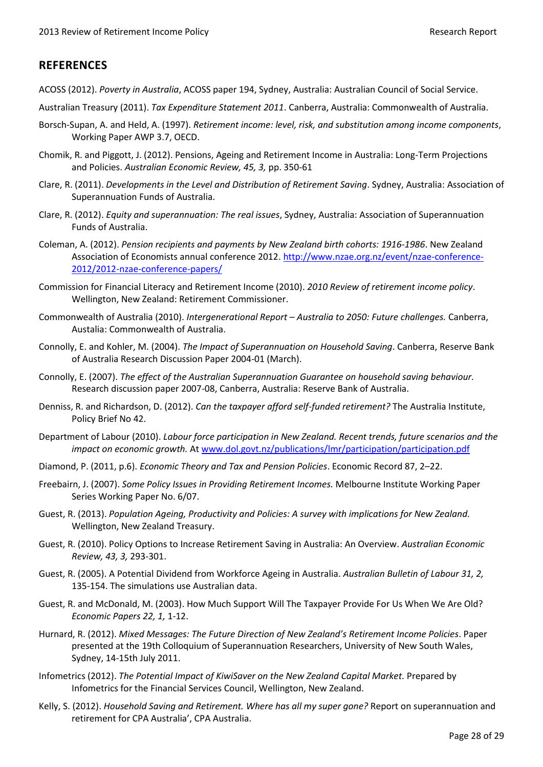# <span id="page-27-0"></span>**REFERENCES**

- ACOSS (2012). *Poverty in Australia*, ACOSS paper 194, Sydney, Australia: Australian Council of Social Service.
- Australian Treasury (2011). *Tax Expenditure Statement 2011*. Canberra, Australia: Commonwealth of Australia.
- Borsch-Supan, A. and Held, A. (1997). *Retirement income: level, risk, and substitution among income components*, Working Paper AWP 3.7, OECD.
- Chomik, R. and Piggott, J. (2012). Pensions, Ageing and Retirement Income in Australia: Long-Term Projections and Policies. *Australian Economic Review, 45, 3,* pp. 350-61
- Clare, R. (2011). *Developments in the Level and Distribution of Retirement Saving*. Sydney, Australia: Association of Superannuation Funds of Australia.
- Clare, R. (2012). *Equity and superannuation: The real issues*, Sydney, Australia: Association of Superannuation Funds of Australia.
- Coleman, A. (2012). *Pension recipients and payments by New Zealand birth cohorts: 1916-1986*. New Zealand Association of Economists annual conference 2012. [http://www.nzae.org.nz/event/nzae-conference-](http://www.nzae.org.nz/event/nzae-conference-2012/2012-nzae-conference-papers/)[2012/2012-nzae-conference-papers/](http://www.nzae.org.nz/event/nzae-conference-2012/2012-nzae-conference-papers/)
- Commission for Financial Literacy and Retirement Income (2010). *2010 Review of retirement income policy*. Wellington, New Zealand: Retirement Commissioner.
- Commonwealth of Australia (2010). *Intergenerational Report – Australia to 2050: Future challenges.* Canberra, Austalia: Commonwealth of Australia.
- Connolly, E. and Kohler, M. (2004). *The Impact of Superannuation on Household Saving*. Canberra, Reserve Bank of Australia Research Discussion Paper 2004-01 (March).
- Connolly, E. (2007). *The effect of the Australian Superannuation Guarantee on household saving behaviour.* Research discussion paper 2007-08, Canberra, Australia: Reserve Bank of Australia.
- Denniss, R. and Richardson, D. (2012). *Can the taxpayer afford self-funded retirement?* The Australia Institute, Policy Brief No 42.
- Department of Labour (2010). *Labour force participation in New Zealand. Recent trends, future scenarios and the impact on economic growth.* At [www.dol.govt.nz/publications/lmr/participation/participation.pdf](http://www.dol.govt.nz/publications/lmr/participation/participation.pdf)
- Diamond, P. (2011, p.6). *Economic Theory and Tax and Pension Policies*. Economic Record 87, 2–22.
- Freebairn, J. (2007). *Some Policy Issues in Providing Retirement Incomes.* Melbourne Institute Working Paper Series Working Paper No. 6/07.
- Guest, R. (2013). *Population Ageing, Productivity and Policies: A survey with implications for New Zealand.* Wellington, New Zealand Treasury.
- Guest, R. (2010). Policy Options to Increase Retirement Saving in Australia: An Overview. *Australian Economic Review, 43, 3,* 293-301.
- Guest, R. (2005). A Potential Dividend from Workforce Ageing in Australia. *Australian Bulletin of Labour 31, 2,* 135-154. The simulations use Australian data.
- Guest, R. and McDonald, M. (2003). How Much Support Will The Taxpayer Provide For Us When We Are Old? *Economic Papers 22, 1,* 1-12.
- Hurnard, R. (2012). *Mixed Messages: The Future Direction of New Zealand's Retirement Income Policies*. Paper presented at the 19th Colloquium of Superannuation Researchers, University of New South Wales, Sydney, 14-15th July 2011.
- Infometrics (2012). *The Potential Impact of KiwiSaver on the New Zealand Capital Market.* Prepared by Infometrics for the Financial Services Council, Wellington, New Zealand.
- Kelly, S. (2012). *Household Saving and Retirement. Where has all my super gone?* Report on superannuation and retirement for CPA Australia', CPA Australia.